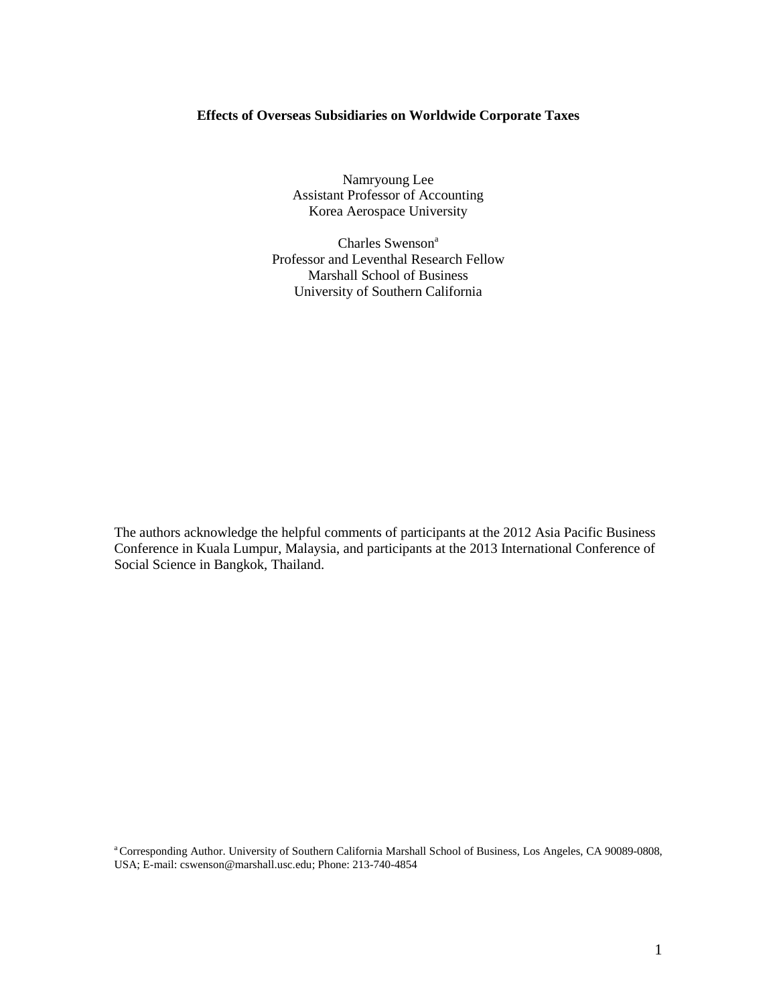### **Effects of Overseas Subsidiaries on Worldwide Corporate Taxes**

Namryoung Lee Assistant Professor of Accounting Korea Aerospace University

Charles Swenson<sup>a</sup> Professor and Leventhal Research Fellow Marshall School of Business University of Southern California

The authors acknowledge the helpful comments of participants at the 2012 Asia Pacific Business Conference in Kuala Lumpur, Malaysia, and participants at the 2013 International Conference of Social Science in Bangkok, Thailand.

<sup>a</sup>Corresponding Author. University of Southern California Marshall School of Business, Los Angeles, CA 90089-0808, USA; E-mail: [cswenson@marshall.usc.edu;](mailto:cswenson@marshall.usc.edu) Phone: 213-740-4854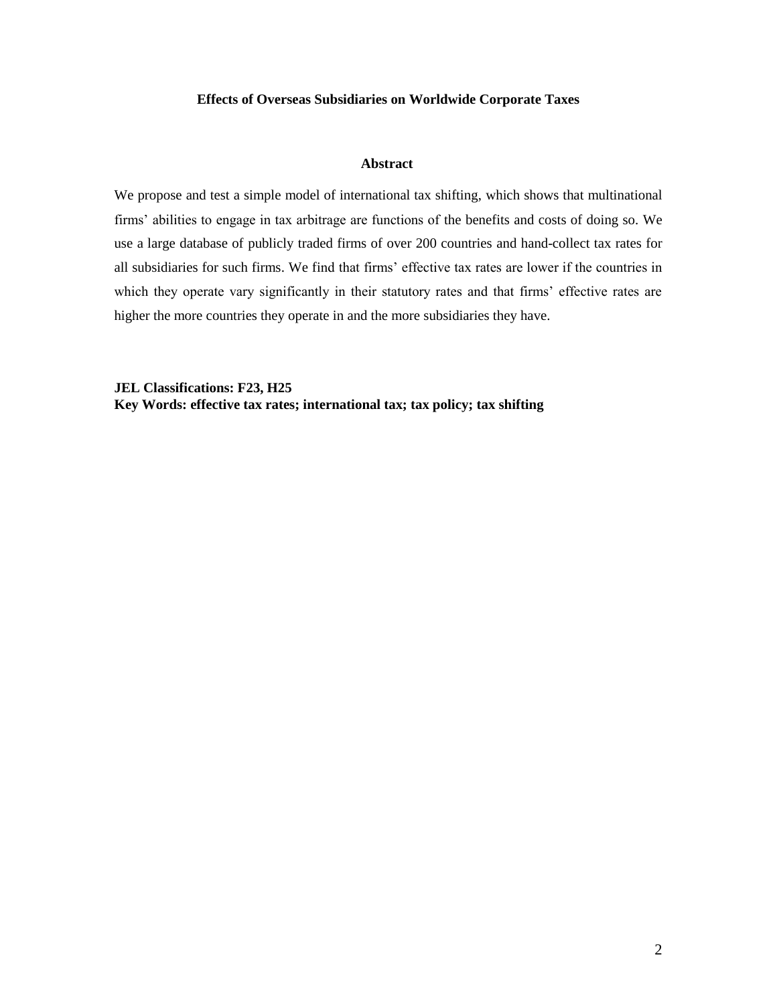### **Effects of Overseas Subsidiaries on Worldwide Corporate Taxes**

#### **Abstract**

We propose and test a simple model of international tax shifting, which shows that multinational firms' abilities to engage in tax arbitrage are functions of the benefits and costs of doing so. We use a large database of publicly traded firms of over 200 countries and hand-collect tax rates for all subsidiaries for such firms. We find that firms' effective tax rates are lower if the countries in which they operate vary significantly in their statutory rates and that firms' effective rates are higher the more countries they operate in and the more subsidiaries they have.

**JEL Classifications: F23, H25 Key Words: effective tax rates; international tax; tax policy; tax shifting**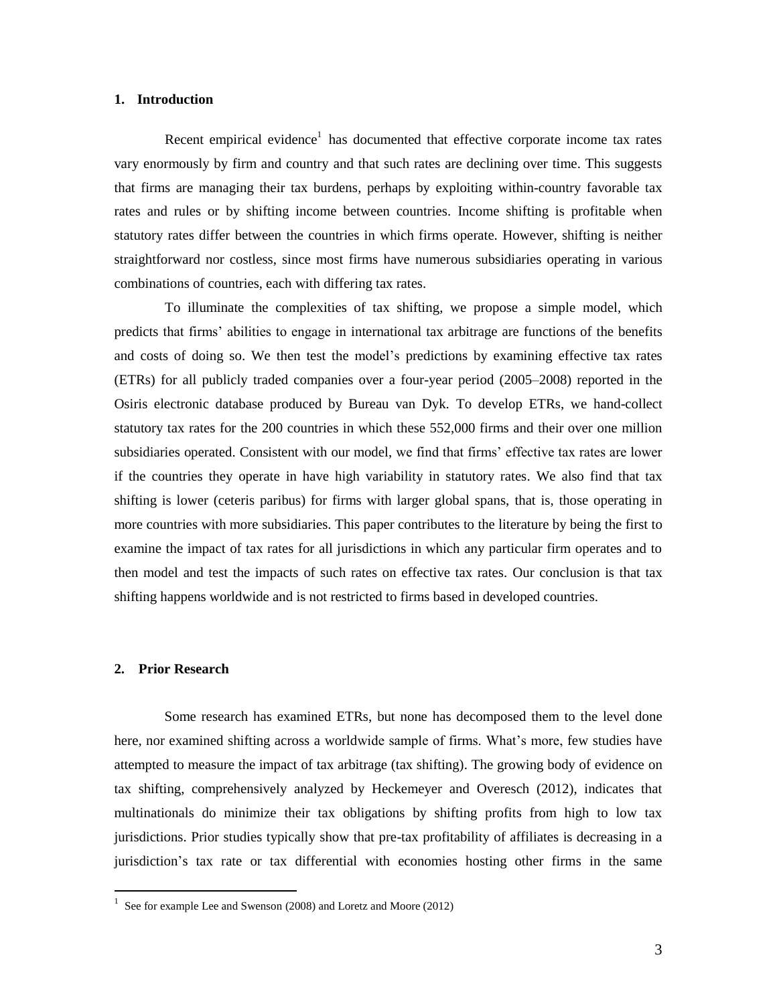#### **1. Introduction**

Recent empirical evidence<sup>1</sup> has documented that effective corporate income tax rates vary enormously by firm and country and that such rates are declining over time. This suggests that firms are managing their tax burdens, perhaps by exploiting within-country favorable tax rates and rules or by shifting income between countries. Income shifting is profitable when statutory rates differ between the countries in which firms operate. However, shifting is neither straightforward nor costless, since most firms have numerous subsidiaries operating in various combinations of countries, each with differing tax rates.

To illuminate the complexities of tax shifting, we propose a simple model, which predicts that firms' abilities to engage in international tax arbitrage are functions of the benefits and costs of doing so. We then test the model's predictions by examining effective tax rates (ETRs) for all publicly traded companies over a four-year period (2005–2008) reported in the Osiris electronic database produced by Bureau van Dyk. To develop ETRs, we hand-collect statutory tax rates for the 200 countries in which these 552,000 firms and their over one million subsidiaries operated. Consistent with our model, we find that firms' effective tax rates are lower if the countries they operate in have high variability in statutory rates. We also find that tax shifting is lower (ceteris paribus) for firms with larger global spans, that is, those operating in more countries with more subsidiaries. This paper contributes to the literature by being the first to examine the impact of tax rates for all jurisdictions in which any particular firm operates and to then model and test the impacts of such rates on effective tax rates. Our conclusion is that tax shifting happens worldwide and is not restricted to firms based in developed countries.

#### **2. Prior Research**

 $\overline{a}$ 

Some research has examined ETRs, but none has decomposed them to the level done here, nor examined shifting across a worldwide sample of firms. What's more, few studies have attempted to measure the impact of tax arbitrage (tax shifting). The growing body of evidence on tax shifting, comprehensively analyzed by Heckemeyer and Overesch (2012), indicates that multinationals do minimize their tax obligations by shifting profits from high to low tax jurisdictions. Prior studies typically show that pre-tax profitability of affiliates is decreasing in a jurisdiction's tax rate or tax differential with economies hosting other firms in the same

<sup>1</sup> See for example Lee and Swenson (2008) and Loretz and Moore (2012)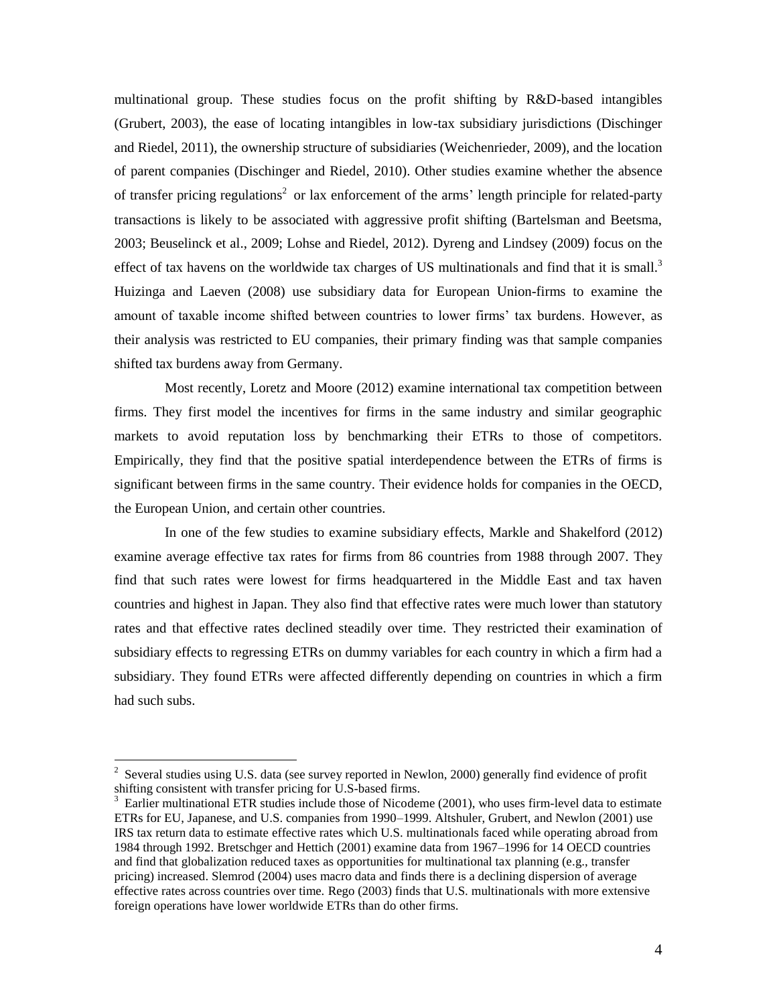multinational group. These studies focus on the profit shifting by R&D-based intangibles (Grubert, 2003), the ease of locating intangibles in low-tax subsidiary jurisdictions (Dischinger and Riedel, 2011), the ownership structure of subsidiaries (Weichenrieder, 2009), and the location of parent companies (Dischinger and Riedel, 2010). Other studies examine whether the absence of transfer pricing regulations<sup>2</sup> or lax enforcement of the arms' length principle for related-party transactions is likely to be associated with aggressive profit shifting (Bartelsman and Beetsma, 2003; Beuselinck et al., 2009; Lohse and Riedel, 2012). Dyreng and Lindsey (2009) focus on the effect of tax havens on the worldwide tax charges of US multinationals and find that it is small.<sup>3</sup> Huizinga and Laeven (2008) use subsidiary data for European Union-firms to examine the amount of taxable income shifted between countries to lower firms' tax burdens. However, as their analysis was restricted to EU companies, their primary finding was that sample companies shifted tax burdens away from Germany.

Most recently, Loretz and Moore (2012) examine international tax competition between firms. They first model the incentives for firms in the same industry and similar geographic markets to avoid reputation loss by benchmarking their ETRs to those of competitors. Empirically, they find that the positive spatial interdependence between the ETRs of firms is significant between firms in the same country. Their evidence holds for companies in the OECD, the European Union, and certain other countries.

In one of the few studies to examine subsidiary effects, Markle and Shakelford (2012) examine average effective tax rates for firms from 86 countries from 1988 through 2007. They find that such rates were lowest for firms headquartered in the Middle East and tax haven countries and highest in Japan. They also find that effective rates were much lower than statutory rates and that effective rates declined steadily over time. They restricted their examination of subsidiary effects to regressing ETRs on dummy variables for each country in which a firm had a subsidiary. They found ETRs were affected differently depending on countries in which a firm had such subs.

 $\overline{a}$ 

<sup>&</sup>lt;sup>2</sup> Several studies using U.S. data (see survey reported in Newlon, 2000) generally find evidence of profit shifting consistent with transfer pricing for U.S-based firms.

<sup>&</sup>lt;sup>3</sup> Earlier multinational ETR studies include those of Nicodeme (2001), who uses firm-level data to estimate ETRs for EU, Japanese, and U.S. companies from 1990–1999. Altshuler, Grubert, and Newlon (2001) use IRS tax return data to estimate effective rates which U.S. multinationals faced while operating abroad from 1984 through 1992. Bretschger and Hettich (2001) examine data from 1967–1996 for 14 OECD countries and find that globalization reduced taxes as opportunities for multinational tax planning (e.g., transfer pricing) increased. Slemrod (2004) uses macro data and finds there is a declining dispersion of average effective rates across countries over time. Rego (2003) finds that U.S. multinationals with more extensive foreign operations have lower worldwide ETRs than do other firms.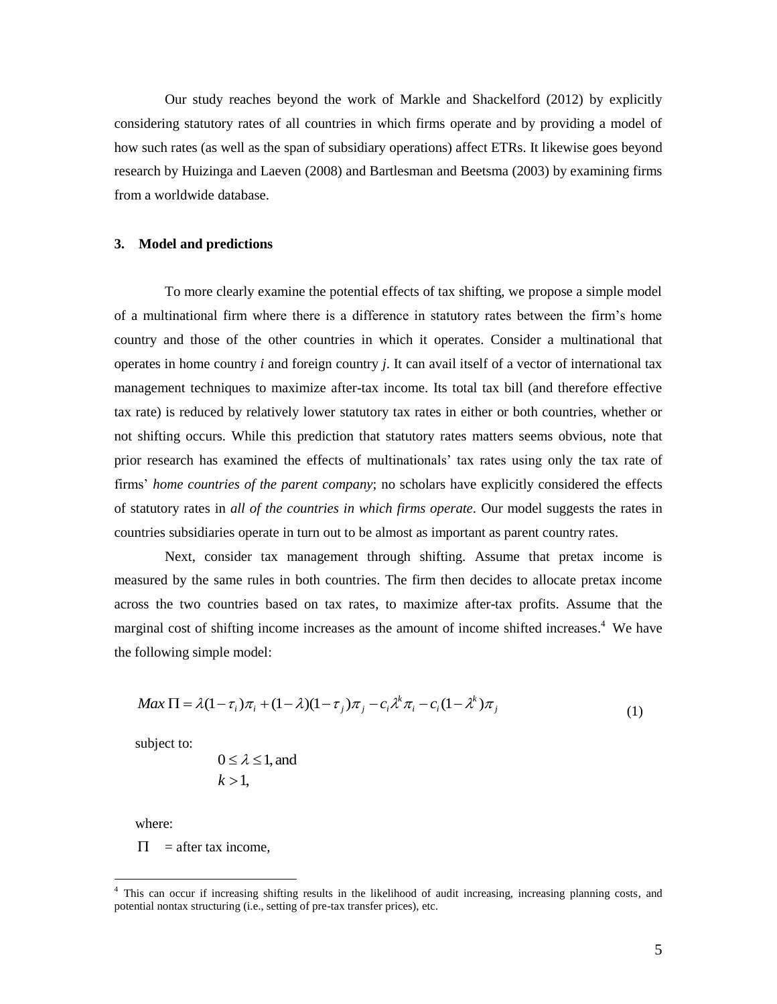Our study reaches beyond the work of Markle and Shackelford (2012) by explicitly considering statutory rates of all countries in which firms operate and by providing a model of how such rates (as well as the span of subsidiary operations) affect ETRs. It likewise goes beyond research by Huizinga and Laeven (2008) and Bartlesman and Beetsma (2003) by examining firms from a worldwide database.

#### **3. Model and predictions**

To more clearly examine the potential effects of tax shifting, we propose a simple model of a multinational firm where there is a difference in statutory rates between the firm's home country and those of the other countries in which it operates. Consider a multinational that operates in home country *i* and foreign country *j*. It can avail itself of a vector of international tax management techniques to maximize after-tax income. Its total tax bill (and therefore effective tax rate) is reduced by relatively lower statutory tax rates in either or both countries, whether or not shifting occurs. While this prediction that statutory rates matters seems obvious, note that prior research has examined the effects of multinationals' tax rates using only the tax rate of firms' *home countries of the parent company*; no scholars have explicitly considered the effects of statutory rates in *all of the countries in which firms operate.* Our model suggests the rates in countries subsidiaries operate in turn out to be almost as important as parent country rates.

Next, consider tax management through shifting. Assume that pretax income is measured by the same rules in both countries. The firm then decides to allocate pretax income across the two countries based on tax rates, to maximize after-tax profits. Assume that the marginal cost of shifting income increases as the amount of income shifted increases.<sup>4</sup> We have the following simple model:

$$
Max \Pi = \lambda (1 - \tau_i) \pi_i + (1 - \lambda)(1 - \tau_j) \pi_j - c_i \lambda^k \pi_i - c_i (1 - \lambda^k) \pi_j
$$
\n<sup>(1)</sup>

subject to:

$$
0 \le \lambda \le 1
$$
, and  
 $k > 1$ ,

where:

 $\overline{a}$ 

 $\Pi$  = after tax income,

<sup>&</sup>lt;sup>4</sup> This can occur if increasing shifting results in the likelihood of audit increasing, increasing planning costs, and potential nontax structuring (i.e., setting of pre-tax transfer prices), etc.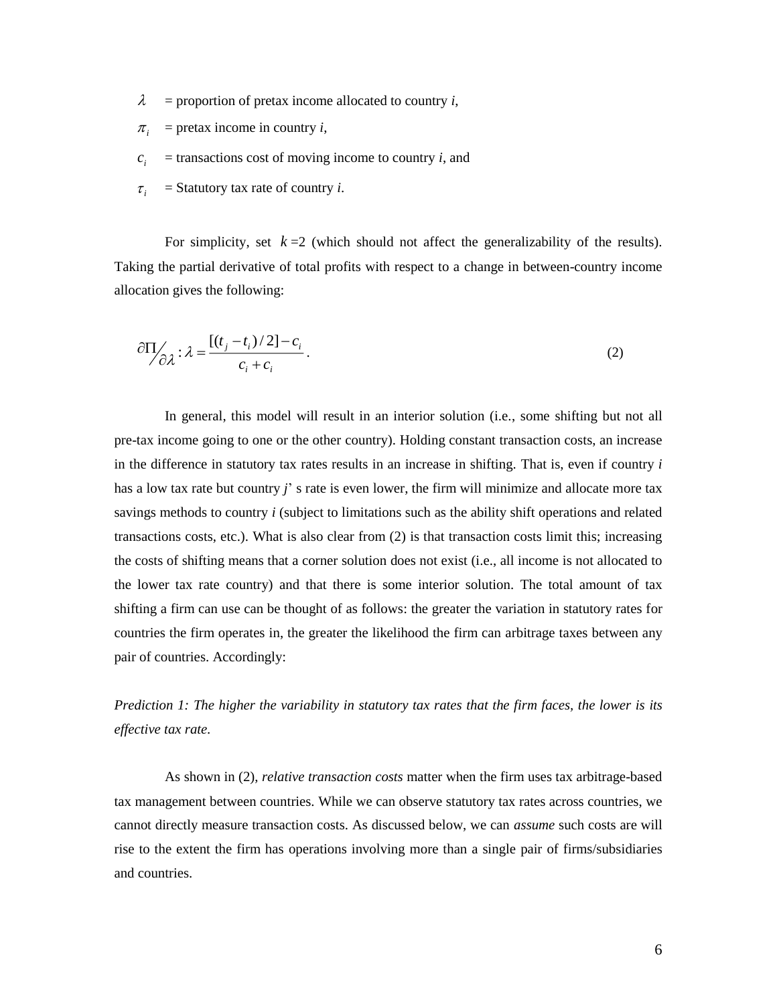- $\lambda$  = proportion of pretax income allocated to country *i*,
- $\pi$ <sup>*i*</sup> = pretax income in country *i*,
- $c_i$  $=$  transactions cost of moving income to country *i*, and
- $\tau_i$ = Statutory tax rate of country *i*.

For simplicity, set  $k = 2$  (which should not affect the generalizability of the results). Taking the partial derivative of total profits with respect to a change in between-country income allocation gives the following:

$$
\partial \Pi_{\partial \lambda} : \lambda = \frac{[(t_j - t_i)/2] - c_i}{c_i + c_i}.
$$
 (2)

In general, this model will result in an interior solution (i.e., some shifting but not all pre-tax income going to one or the other country). Holding constant transaction costs, an increase in the difference in statutory tax rates results in an increase in shifting. That is, even if country *i* has a low tax rate but country *j*' s rate is even lower, the firm will minimize and allocate more tax savings methods to country *i* (subject to limitations such as the ability shift operations and related transactions costs, etc.). What is also clear from (2) is that transaction costs limit this; increasing the costs of shifting means that a corner solution does not exist (i.e., all income is not allocated to the lower tax rate country) and that there is some interior solution. The total amount of tax shifting a firm can use can be thought of as follows: the greater the variation in statutory rates for countries the firm operates in, the greater the likelihood the firm can arbitrage taxes between any pair of countries. Accordingly:

*Prediction 1: The higher the variability in statutory tax rates that the firm faces, the lower is its effective tax rate.*

As shown in (2), *relative transaction costs* matter when the firm uses tax arbitrage-based tax management between countries. While we can observe statutory tax rates across countries, we cannot directly measure transaction costs. As discussed below, we can *assume* such costs are will rise to the extent the firm has operations involving more than a single pair of firms/subsidiaries and countries.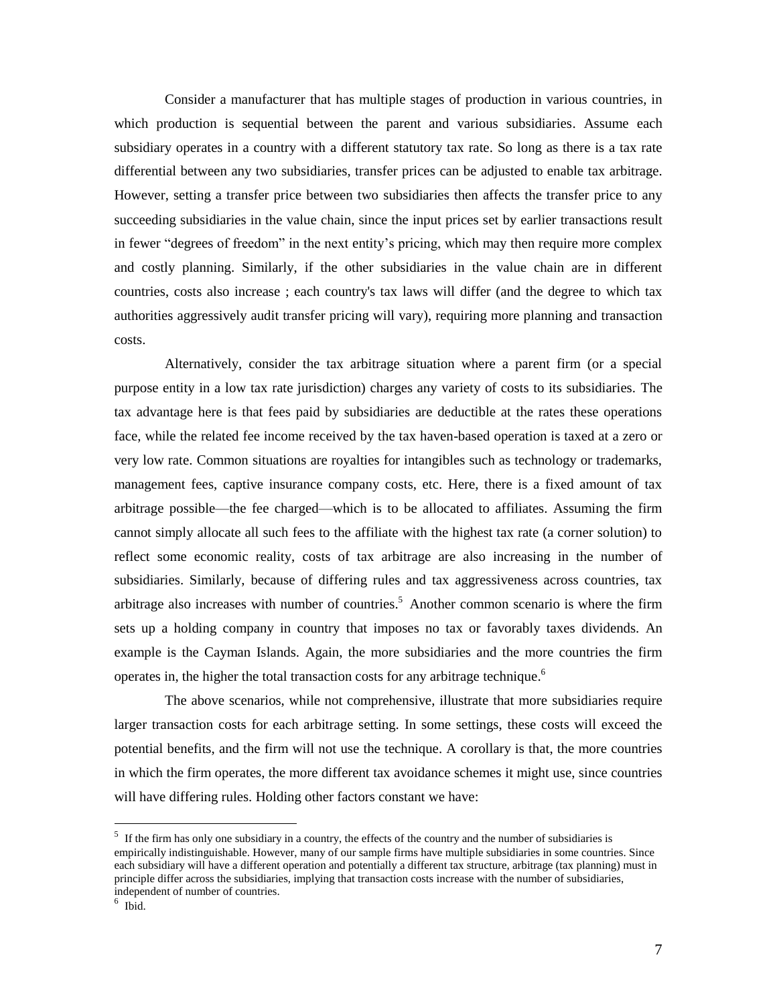Consider a manufacturer that has multiple stages of production in various countries, in which production is sequential between the parent and various subsidiaries. Assume each subsidiary operates in a country with a different statutory tax rate. So long as there is a tax rate differential between any two subsidiaries, transfer prices can be adjusted to enable tax arbitrage. However, setting a transfer price between two subsidiaries then affects the transfer price to any succeeding subsidiaries in the value chain, since the input prices set by earlier transactions result in fewer "degrees of freedom" in the next entity's pricing, which may then require more complex and costly planning. Similarly, if the other subsidiaries in the value chain are in different countries, costs also increase ; each country's tax laws will differ (and the degree to which tax authorities aggressively audit transfer pricing will vary), requiring more planning and transaction costs.

Alternatively, consider the tax arbitrage situation where a parent firm (or a special purpose entity in a low tax rate jurisdiction) charges any variety of costs to its subsidiaries. The tax advantage here is that fees paid by subsidiaries are deductible at the rates these operations face, while the related fee income received by the tax haven-based operation is taxed at a zero or very low rate. Common situations are royalties for intangibles such as technology or trademarks, management fees, captive insurance company costs, etc. Here, there is a fixed amount of tax arbitrage possible—the fee charged—which is to be allocated to affiliates. Assuming the firm cannot simply allocate all such fees to the affiliate with the highest tax rate (a corner solution) to reflect some economic reality, costs of tax arbitrage are also increasing in the number of subsidiaries. Similarly, because of differing rules and tax aggressiveness across countries, tax arbitrage also increases with number of countries. <sup>5</sup> Another common scenario is where the firm sets up a holding company in country that imposes no tax or favorably taxes dividends. An example is the Cayman Islands. Again, the more subsidiaries and the more countries the firm operates in, the higher the total transaction costs for any arbitrage technique.<sup>6</sup>

The above scenarios, while not comprehensive, illustrate that more subsidiaries require larger transaction costs for each arbitrage setting. In some settings, these costs will exceed the potential benefits, and the firm will not use the technique. A corollary is that, the more countries in which the firm operates, the more different tax avoidance schemes it might use, since countries will have differing rules. Holding other factors constant we have:

<sup>&</sup>lt;sup>5</sup> If the firm has only one subsidiary in a country, the effects of the country and the number of subsidiaries is empirically indistinguishable. However, many of our sample firms have multiple subsidiaries in some countries. Since each subsidiary will have a different operation and potentially a different tax structure, arbitrage (tax planning) must in principle differ across the subsidiaries, implying that transaction costs increase with the number of subsidiaries, independent of number of countries.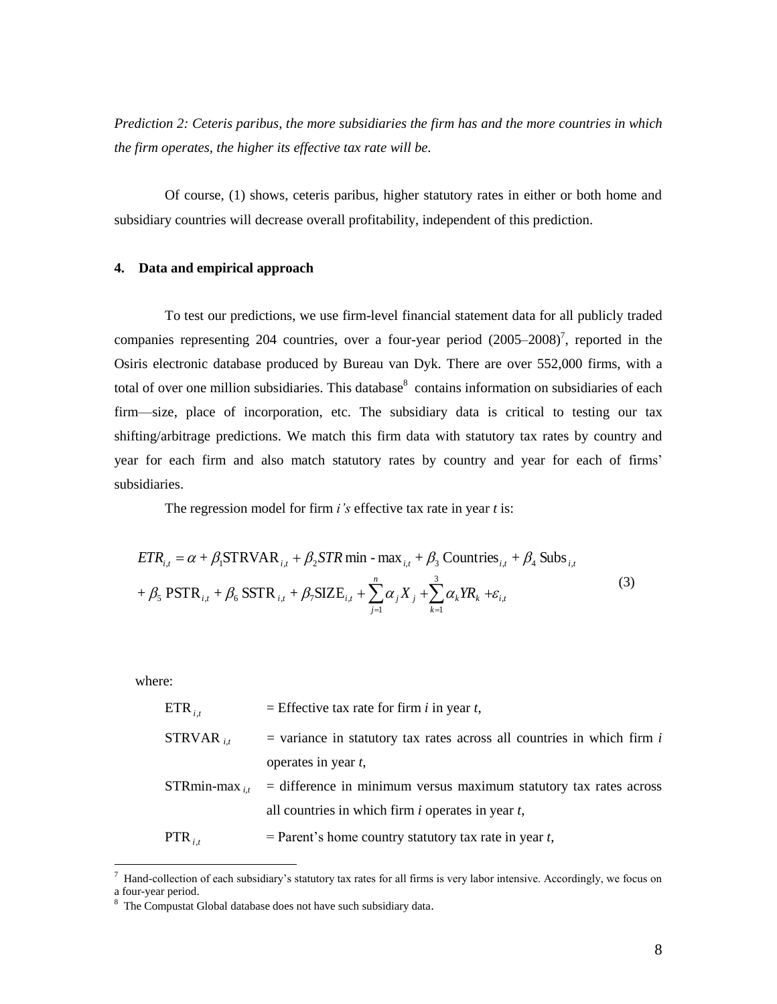*Prediction 2: Ceteris paribus, the more subsidiaries the firm has and the more countries in which the firm operates, the higher its effective tax rate will be.*

Of course, (1) shows, ceteris paribus, higher statutory rates in either or both home and subsidiary countries will decrease overall profitability, independent of this prediction.

#### **4. Data and empirical approach**

To test our predictions, we use firm-level financial statement data for all publicly traded companies representing 204 countries, over a four-year period  $(2005-2008)^7$ , reported in the Osiris electronic database produced by Bureau van Dyk. There are over 552,000 firms, with a total of over one million subsidiaries. This database<sup>8</sup> contains information on subsidiaries of each firm—size, place of incorporation, etc. The subsidiary data is critical to testing our tax shifting/arbitrage predictions. We match this firm data with statutory tax rates by country and year for each firm and also match statutory rates by country and year for each of firms' subsidiaries.

The regression model for firm *i's* effective tax rate in year *t* is:

$$
ETR_{i,t} = \alpha + \beta_1 \text{STRVAR}_{i,t} + \beta_2 \text{STR min} - \max_{i,t} + \beta_3 \text{ Countries}_{i,t} + \beta_4 \text{ Subs}_{i,t}
$$
  
+  $\beta_5 \text{ PSTR}_{i,t} + \beta_6 \text{ SSTR}_{i,t} + \beta_7 \text{SIZE}_{i,t} + \sum_{j=1}^{n} \alpha_j X_j + \sum_{k=1}^{3} \alpha_k YR_k + \varepsilon_{i,t}$  (3)

where:

 $\overline{a}$ 

| $ETR_{i,t}$       | = Effective tax rate for firm i in year t,                               |
|-------------------|--------------------------------------------------------------------------|
| STRVAR $_{i,t}$   | $=$ variance in statutory tax rates across all countries in which firm i |
|                   | operates in year $t$ ,                                                   |
| $STRmin-max_{it}$ | $=$ difference in minimum versus maximum statutory tax rates across      |
|                   | all countries in which firm $i$ operates in year $t$ ,                   |
| $PTR_{i,t}$       | $=$ Parent's home country statutory tax rate in year t,                  |

 $<sup>7</sup>$  Hand-collection of each subsidiary's statutory tax rates for all firms is very labor intensive. Accordingly, we focus on</sup> a four-year period.

<sup>&</sup>lt;sup>8</sup> The Compustat Global database does not have such subsidiary data.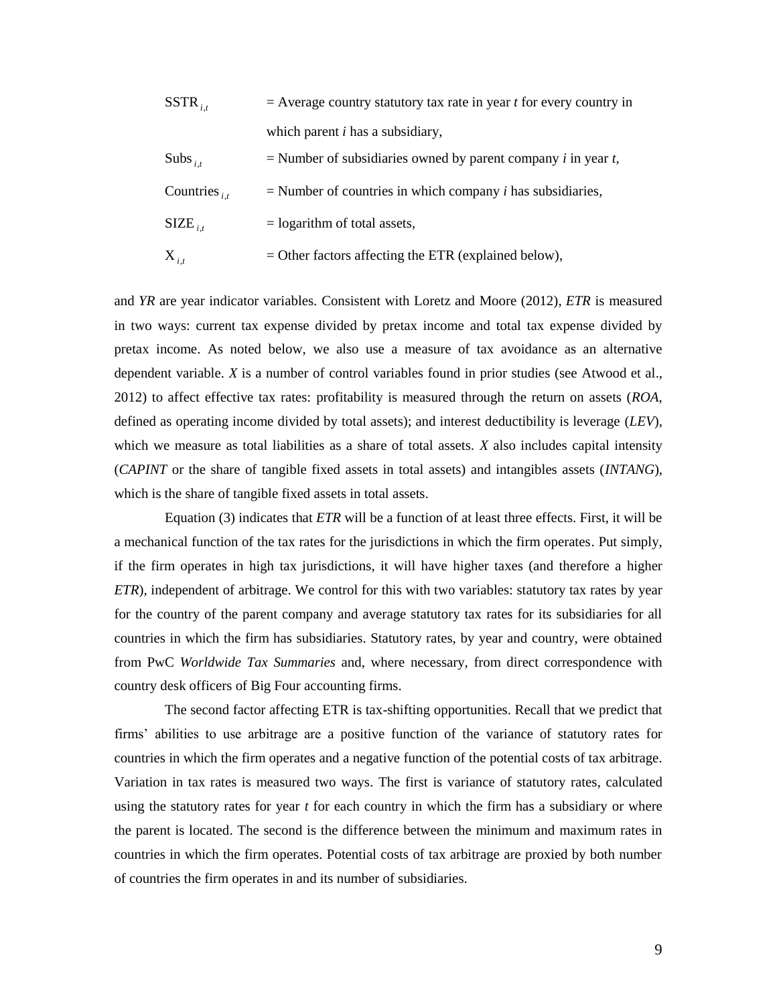| $SSTR_{i,t}$        | $=$ Average country statutory tax rate in year <i>t</i> for every country in   |
|---------------------|--------------------------------------------------------------------------------|
|                     | which parent $i$ has a subsidiary,                                             |
| Subs <sub>it</sub>  | $=$ Number of subsidiaries owned by parent company <i>i</i> in year <i>t</i> , |
| Countries $_{i,t}$  | $=$ Number of countries in which company <i>i</i> has subsidiaries,            |
| $\text{SIZE}_{i,t}$ | $=$ logarithm of total assets,                                                 |
| $X_{i,t}$           | $=$ Other factors affecting the ETR (explained below),                         |

and *YR* are year indicator variables. Consistent with Loretz and Moore (2012), *ETR* is measured in two ways: current tax expense divided by pretax income and total tax expense divided by pretax income. As noted below, we also use a measure of tax avoidance as an alternative dependent variable. *X* is a number of control variables found in prior studies (see Atwood et al., 2012) to affect effective tax rates: profitability is measured through the return on assets (*ROA*, defined as operating income divided by total assets); and interest deductibility is leverage (*LEV*), which we measure as total liabilities as a share of total assets. *X* also includes capital intensity (*CAPINT* or the share of tangible fixed assets in total assets) and intangibles assets (*INTANG*), which is the share of tangible fixed assets in total assets.

Equation (3) indicates that *ETR* will be a function of at least three effects. First, it will be a mechanical function of the tax rates for the jurisdictions in which the firm operates. Put simply, if the firm operates in high tax jurisdictions, it will have higher taxes (and therefore a higher *ETR*), independent of arbitrage. We control for this with two variables: statutory tax rates by year for the country of the parent company and average statutory tax rates for its subsidiaries for all countries in which the firm has subsidiaries. Statutory rates, by year and country, were obtained from PwC *Worldwide Tax Summaries* and, where necessary, from direct correspondence with country desk officers of Big Four accounting firms.

The second factor affecting ETR is tax-shifting opportunities. Recall that we predict that firms' abilities to use arbitrage are a positive function of the variance of statutory rates for countries in which the firm operates and a negative function of the potential costs of tax arbitrage. Variation in tax rates is measured two ways. The first is variance of statutory rates, calculated using the statutory rates for year *t* for each country in which the firm has a subsidiary or where the parent is located. The second is the difference between the minimum and maximum rates in countries in which the firm operates. Potential costs of tax arbitrage are proxied by both number of countries the firm operates in and its number of subsidiaries.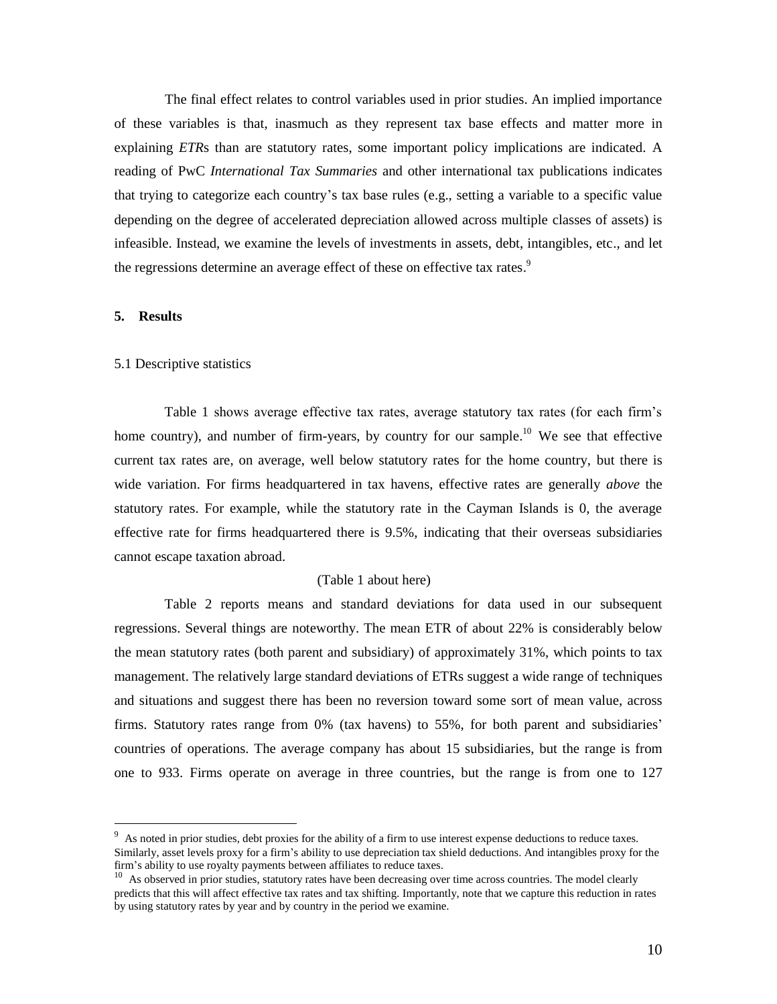The final effect relates to control variables used in prior studies. An implied importance of these variables is that, inasmuch as they represent tax base effects and matter more in explaining *ETR*s than are statutory rates, some important policy implications are indicated. A reading of PwC *International Tax Summaries* and other international tax publications indicates that trying to categorize each country's tax base rules (e.g., setting a variable to a specific value depending on the degree of accelerated depreciation allowed across multiple classes of assets) is infeasible. Instead, we examine the levels of investments in assets, debt, intangibles, etc., and let the regressions determine an average effect of these on effective tax rates.<sup>9</sup>

### **5. Results**

 $\overline{a}$ 

#### 5.1 Descriptive statistics

Table 1 shows average effective tax rates, average statutory tax rates (for each firm's home country), and number of firm-years, by country for our sample.<sup>10</sup> We see that effective current tax rates are, on average, well below statutory rates for the home country, but there is wide variation. For firms headquartered in tax havens, effective rates are generally *above* the statutory rates. For example, while the statutory rate in the Cayman Islands is 0, the average effective rate for firms headquartered there is 9.5%, indicating that their overseas subsidiaries cannot escape taxation abroad.

#### (Table 1 about here)

Table 2 reports means and standard deviations for data used in our subsequent regressions. Several things are noteworthy. The mean ETR of about 22% is considerably below the mean statutory rates (both parent and subsidiary) of approximately 31%, which points to tax management. The relatively large standard deviations of ETRs suggest a wide range of techniques and situations and suggest there has been no reversion toward some sort of mean value, across firms. Statutory rates range from 0% (tax havens) to 55%, for both parent and subsidiaries' countries of operations. The average company has about 15 subsidiaries, but the range is from one to 933. Firms operate on average in three countries, but the range is from one to 127

<sup>&</sup>lt;sup>9</sup> As noted in prior studies, debt proxies for the ability of a firm to use interest expense deductions to reduce taxes. Similarly, asset levels proxy for a firm's ability to use depreciation tax shield deductions. And intangibles proxy for the firm's ability to use royalty payments between affiliates to reduce taxes.

<sup>&</sup>lt;sup>10</sup> As observed in prior studies, statutory rates have been decreasing over time across countries. The model clearly predicts that this will affect effective tax rates and tax shifting. Importantly, note that we capture this reduction in rates by using statutory rates by year and by country in the period we examine.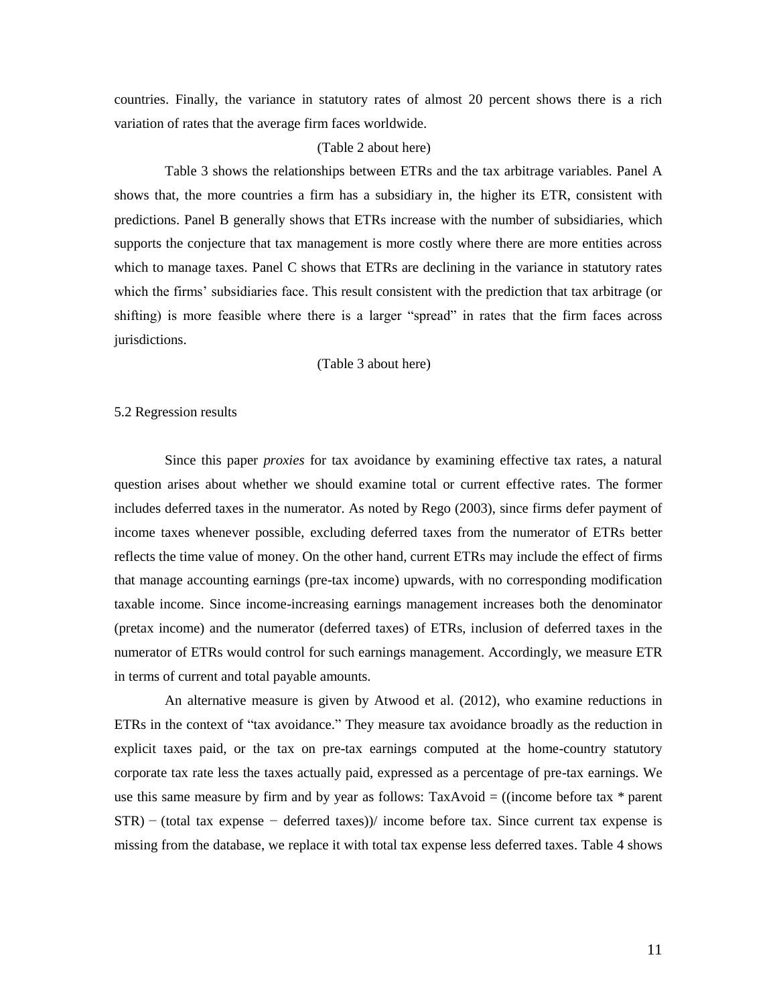countries. Finally, the variance in statutory rates of almost 20 percent shows there is a rich variation of rates that the average firm faces worldwide.

#### (Table 2 about here)

Table 3 shows the relationships between ETRs and the tax arbitrage variables. Panel A shows that, the more countries a firm has a subsidiary in, the higher its ETR, consistent with predictions. Panel B generally shows that ETRs increase with the number of subsidiaries, which supports the conjecture that tax management is more costly where there are more entities across which to manage taxes. Panel C shows that ETRs are declining in the variance in statutory rates which the firms' subsidiaries face. This result consistent with the prediction that tax arbitrage (or shifting) is more feasible where there is a larger "spread" in rates that the firm faces across jurisdictions.

(Table 3 about here)

#### 5.2 Regression results

Since this paper *proxies* for tax avoidance by examining effective tax rates, a natural question arises about whether we should examine total or current effective rates. The former includes deferred taxes in the numerator. As noted by Rego (2003), since firms defer payment of income taxes whenever possible, excluding deferred taxes from the numerator of ETRs better reflects the time value of money. On the other hand, current ETRs may include the effect of firms that manage accounting earnings (pre-tax income) upwards, with no corresponding modification taxable income. Since income-increasing earnings management increases both the denominator (pretax income) and the numerator (deferred taxes) of ETRs, inclusion of deferred taxes in the numerator of ETRs would control for such earnings management. Accordingly, we measure ETR in terms of current and total payable amounts.

An alternative measure is given by Atwood et al. (2012), who examine reductions in ETRs in the context of "tax avoidance." They measure tax avoidance broadly as the reduction in explicit taxes paid, or the tax on pre-tax earnings computed at the home-country statutory corporate tax rate less the taxes actually paid, expressed as a percentage of pre-tax earnings. We use this same measure by firm and by year as follows:  $TaxAvoid = ((income before tax * parent)$ STR) − (total tax expense − deferred taxes)) income before tax. Since current tax expense is missing from the database, we replace it with total tax expense less deferred taxes. Table 4 shows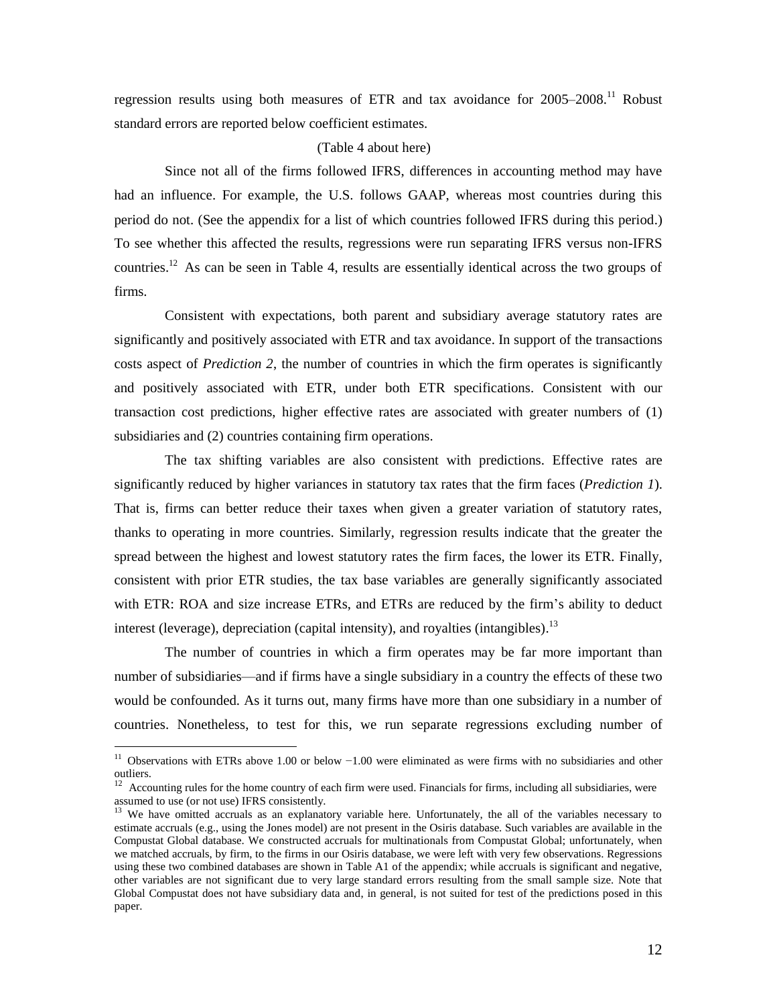regression results using both measures of ETR and tax avoidance for  $2005-2008$ .<sup>11</sup> Robust standard errors are reported below coefficient estimates.

#### (Table 4 about here)

Since not all of the firms followed IFRS, differences in accounting method may have had an influence. For example, the U.S. follows GAAP, whereas most countries during this period do not. (See the appendix for a list of which countries followed IFRS during this period.) To see whether this affected the results, regressions were run separating IFRS versus non-IFRS countries.<sup>12</sup> As can be seen in Table 4, results are essentially identical across the two groups of firms.

Consistent with expectations, both parent and subsidiary average statutory rates are significantly and positively associated with ETR and tax avoidance. In support of the transactions costs aspect of *Prediction 2*, the number of countries in which the firm operates is significantly and positively associated with ETR, under both ETR specifications. Consistent with our transaction cost predictions, higher effective rates are associated with greater numbers of (1) subsidiaries and (2) countries containing firm operations.

The tax shifting variables are also consistent with predictions. Effective rates are significantly reduced by higher variances in statutory tax rates that the firm faces (*Prediction 1*). That is, firms can better reduce their taxes when given a greater variation of statutory rates, thanks to operating in more countries. Similarly, regression results indicate that the greater the spread between the highest and lowest statutory rates the firm faces, the lower its ETR. Finally, consistent with prior ETR studies, the tax base variables are generally significantly associated with ETR: ROA and size increase ETRs, and ETRs are reduced by the firm's ability to deduct interest (leverage), depreciation (capital intensity), and royalties (intangibles).<sup>13</sup>

The number of countries in which a firm operates may be far more important than number of subsidiaries—and if firms have a single subsidiary in a country the effects of these two would be confounded. As it turns out, many firms have more than one subsidiary in a number of countries. Nonetheless, to test for this, we run separate regressions excluding number of

 $\overline{a}$ 

<sup>&</sup>lt;sup>11</sup> Observations with ETRs above 1.00 or below  $-1.00$  were eliminated as were firms with no subsidiaries and other outliers.

 $12$  Accounting rules for the home country of each firm were used. Financials for firms, including all subsidiaries, were assumed to use (or not use) IFRS consistently.

<sup>&</sup>lt;sup>13</sup> We have omitted accruals as an explanatory variable here. Unfortunately, the all of the variables necessary to estimate accruals (e.g., using the Jones model) are not present in the Osiris database. Such variables are available in the Compustat Global database. We constructed accruals for multinationals from Compustat Global; unfortunately, when we matched accruals, by firm, to the firms in our Osiris database, we were left with very few observations. Regressions using these two combined databases are shown in Table A1 of the appendix; while accruals is significant and negative, other variables are not significant due to very large standard errors resulting from the small sample size. Note that Global Compustat does not have subsidiary data and, in general, is not suited for test of the predictions posed in this paper.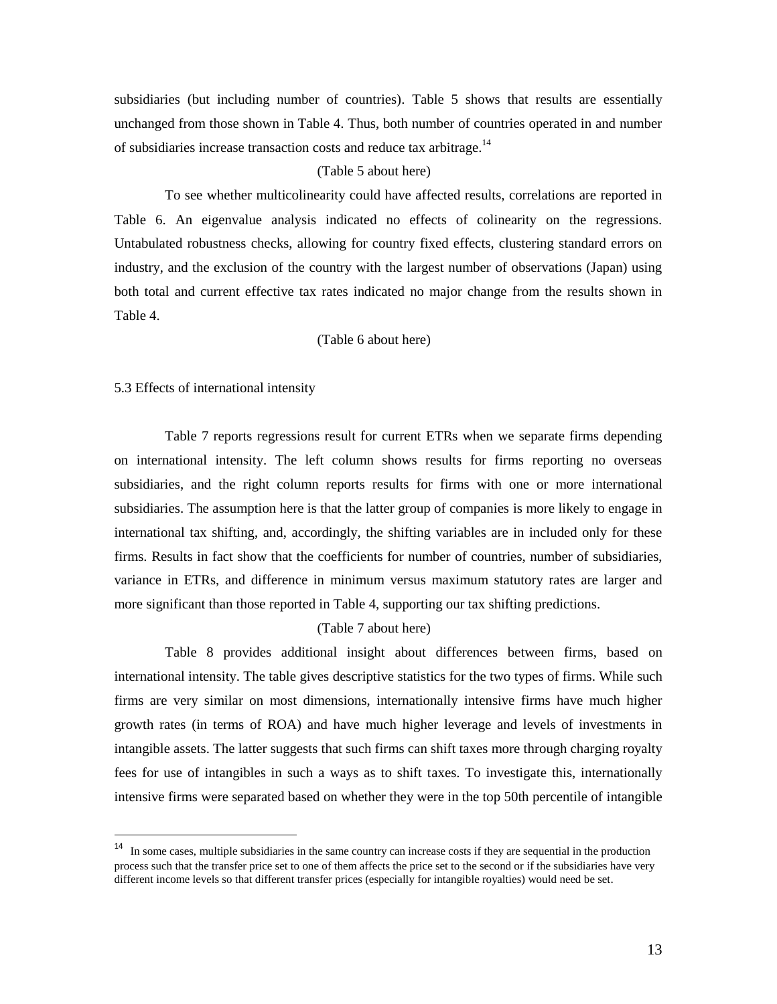subsidiaries (but including number of countries). Table 5 shows that results are essentially unchanged from those shown in Table 4. Thus, both number of countries operated in and number of subsidiaries increase transaction costs and reduce tax arbitrage.<sup>14</sup>

### (Table 5 about here)

To see whether multicolinearity could have affected results, correlations are reported in Table 6. An eigenvalue analysis indicated no effects of colinearity on the regressions. Untabulated robustness checks, allowing for country fixed effects, clustering standard errors on industry, and the exclusion of the country with the largest number of observations (Japan) using both total and current effective tax rates indicated no major change from the results shown in Table 4.

(Table 6 about here)

#### 5.3 Effects of international intensity

 $\overline{a}$ 

Table 7 reports regressions result for current ETRs when we separate firms depending on international intensity. The left column shows results for firms reporting no overseas subsidiaries, and the right column reports results for firms with one or more international subsidiaries. The assumption here is that the latter group of companies is more likely to engage in international tax shifting, and, accordingly, the shifting variables are in included only for these firms. Results in fact show that the coefficients for number of countries, number of subsidiaries, variance in ETRs, and difference in minimum versus maximum statutory rates are larger and more significant than those reported in Table 4, supporting our tax shifting predictions.

#### (Table 7 about here)

Table 8 provides additional insight about differences between firms, based on international intensity. The table gives descriptive statistics for the two types of firms. While such firms are very similar on most dimensions, internationally intensive firms have much higher growth rates (in terms of ROA) and have much higher leverage and levels of investments in intangible assets. The latter suggests that such firms can shift taxes more through charging royalty fees for use of intangibles in such a ways as to shift taxes. To investigate this, internationally intensive firms were separated based on whether they were in the top 50th percentile of intangible

<sup>&</sup>lt;sup>14</sup> In some cases, multiple subsidiaries in the same country can increase costs if they are sequential in the production process such that the transfer price set to one of them affects the price set to the second or if the subsidiaries have very different income levels so that different transfer prices (especially for intangible royalties) would need be set.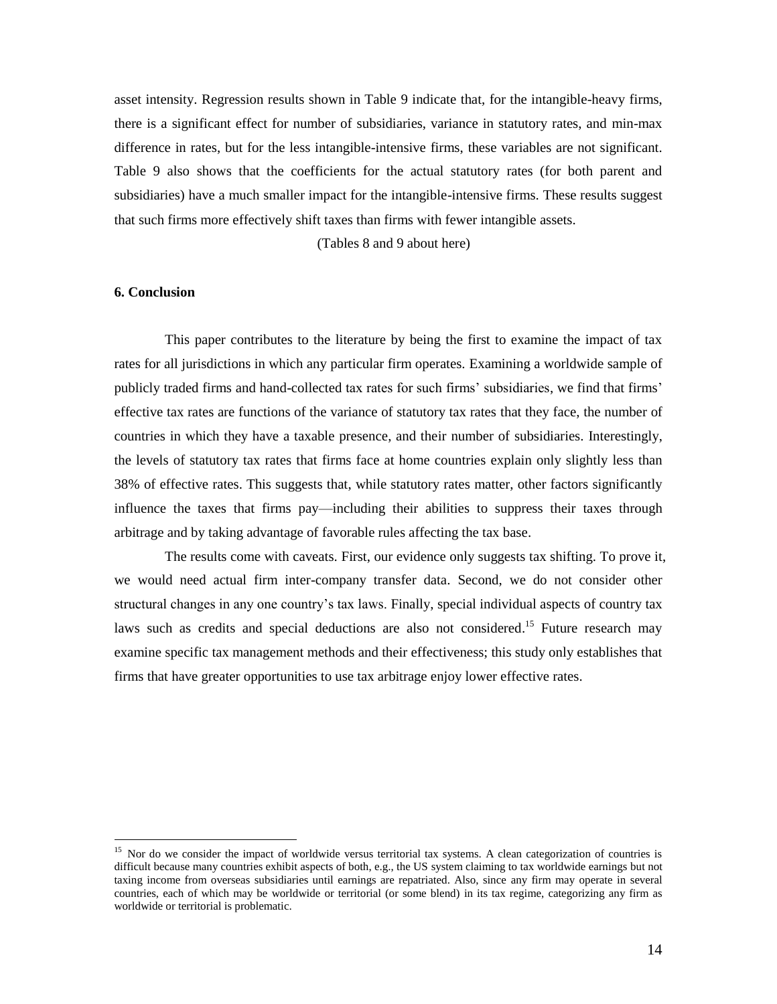asset intensity. Regression results shown in Table 9 indicate that, for the intangible-heavy firms, there is a significant effect for number of subsidiaries, variance in statutory rates, and min-max difference in rates, but for the less intangible-intensive firms, these variables are not significant. Table 9 also shows that the coefficients for the actual statutory rates (for both parent and subsidiaries) have a much smaller impact for the intangible-intensive firms. These results suggest that such firms more effectively shift taxes than firms with fewer intangible assets.

(Tables 8 and 9 about here)

### **6. Conclusion**

 $\overline{a}$ 

This paper contributes to the literature by being the first to examine the impact of tax rates for all jurisdictions in which any particular firm operates. Examining a worldwide sample of publicly traded firms and hand-collected tax rates for such firms' subsidiaries, we find that firms' effective tax rates are functions of the variance of statutory tax rates that they face, the number of countries in which they have a taxable presence, and their number of subsidiaries. Interestingly, the levels of statutory tax rates that firms face at home countries explain only slightly less than 38% of effective rates. This suggests that, while statutory rates matter, other factors significantly influence the taxes that firms pay—including their abilities to suppress their taxes through arbitrage and by taking advantage of favorable rules affecting the tax base.

The results come with caveats. First, our evidence only suggests tax shifting. To prove it, we would need actual firm inter-company transfer data. Second, we do not consider other structural changes in any one country's tax laws. Finally, special individual aspects of country tax laws such as credits and special deductions are also not considered.<sup>15</sup> Future research may examine specific tax management methods and their effectiveness; this study only establishes that firms that have greater opportunities to use tax arbitrage enjoy lower effective rates.

<sup>&</sup>lt;sup>15</sup> Nor do we consider the impact of worldwide versus territorial tax systems. A clean categorization of countries is difficult because many countries exhibit aspects of both, e.g., the US system claiming to tax worldwide earnings but not taxing income from overseas subsidiaries until earnings are repatriated. Also, since any firm may operate in several countries, each of which may be worldwide or territorial (or some blend) in its tax regime, categorizing any firm as worldwide or territorial is problematic.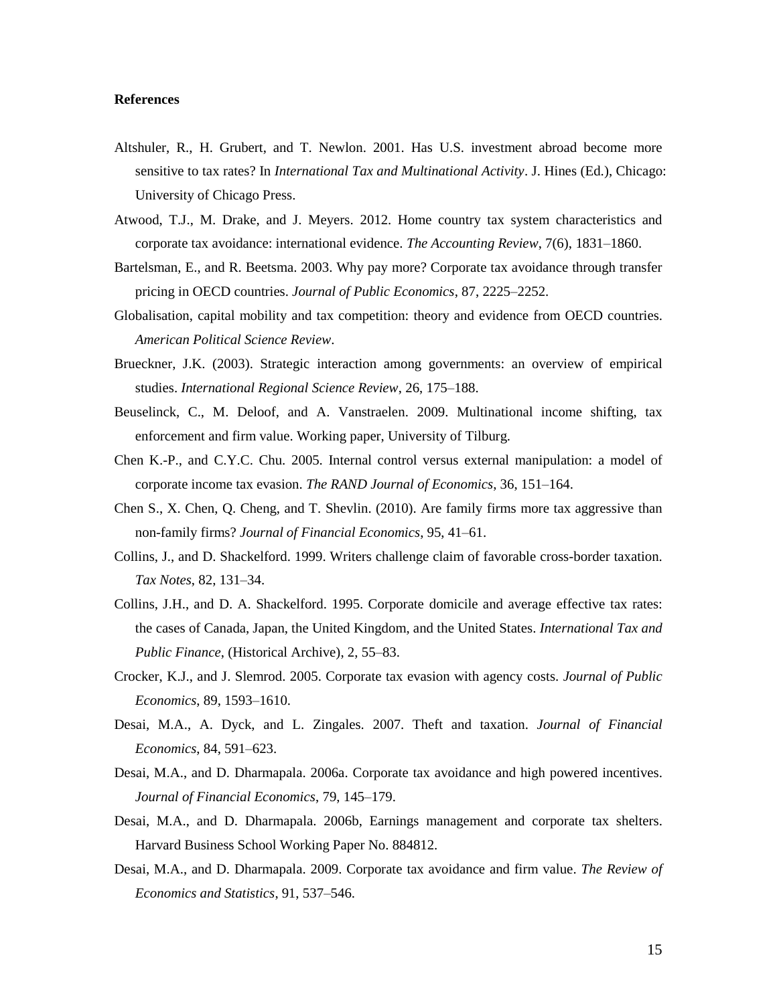#### **References**

- Altshuler, R., H. Grubert, and T. Newlon. 2001. Has U.S. investment abroad become more sensitive to tax rates? In *International Tax and Multinational Activity*. J. Hines (Ed.), Chicago: University of Chicago Press.
- Atwood, T.J., M. Drake, and J. Meyers. 2012. Home country tax system characteristics and corporate tax avoidance: international evidence. *The Accounting Review*, 7(6), 1831–1860.
- Bartelsman, E., and R. Beetsma. 2003. Why pay more? Corporate tax avoidance through transfer pricing in OECD countries. *Journal of Public Economics*, 87, 2225–2252.
- Globalisation, capital mobility and tax competition: theory and evidence from OECD countries. *American Political Science Review*.
- Brueckner, J.K. (2003). Strategic interaction among governments: an overview of empirical studies. *International Regional Science Review*, 26, 175–188.
- Beuselinck, C., M. Deloof, and A. Vanstraelen. 2009. Multinational income shifting, tax enforcement and firm value. Working paper, University of Tilburg.
- Chen K.-P., and C.Y.C. Chu. 2005. Internal control versus external manipulation: a model of corporate income tax evasion. *The RAND Journal of Economics*, 36, 151–164.
- Chen S., X. Chen, Q. Cheng, and T. Shevlin. (2010). Are family firms more tax aggressive than non-family firms? *Journal of Financial Economics*, 95, 41–61.
- Collins, J., and D. Shackelford. 1999. Writers challenge claim of favorable cross-border taxation. *Tax Notes*, 82, 131–34.
- Collins, J.H., and D. A. Shackelford. 1995. Corporate domicile and average effective tax rates: the cases of Canada, Japan, the United Kingdom, and the United States. *International Tax and Public Finance*, (Historical Archive), 2, 55–83.
- Crocker, K.J., and J. Slemrod. 2005. Corporate tax evasion with agency costs. *Journal of Public Economics*, 89, 1593–1610.
- Desai, M.A., A. Dyck, and L. Zingales. 2007. Theft and taxation. *Journal of Financial Economics*, 84, 591–623.
- Desai, M.A., and D. Dharmapala. 2006a. Corporate tax avoidance and high powered incentives. *Journal of Financial Economics*, 79, 145–179.
- Desai, M.A., and D. Dharmapala. 2006b, Earnings management and corporate tax shelters. Harvard Business School Working Paper No. 884812.
- Desai, M.A., and D. Dharmapala. 2009. Corporate tax avoidance and firm value. *The Review of Economics and Statistics*, 91, 537–546.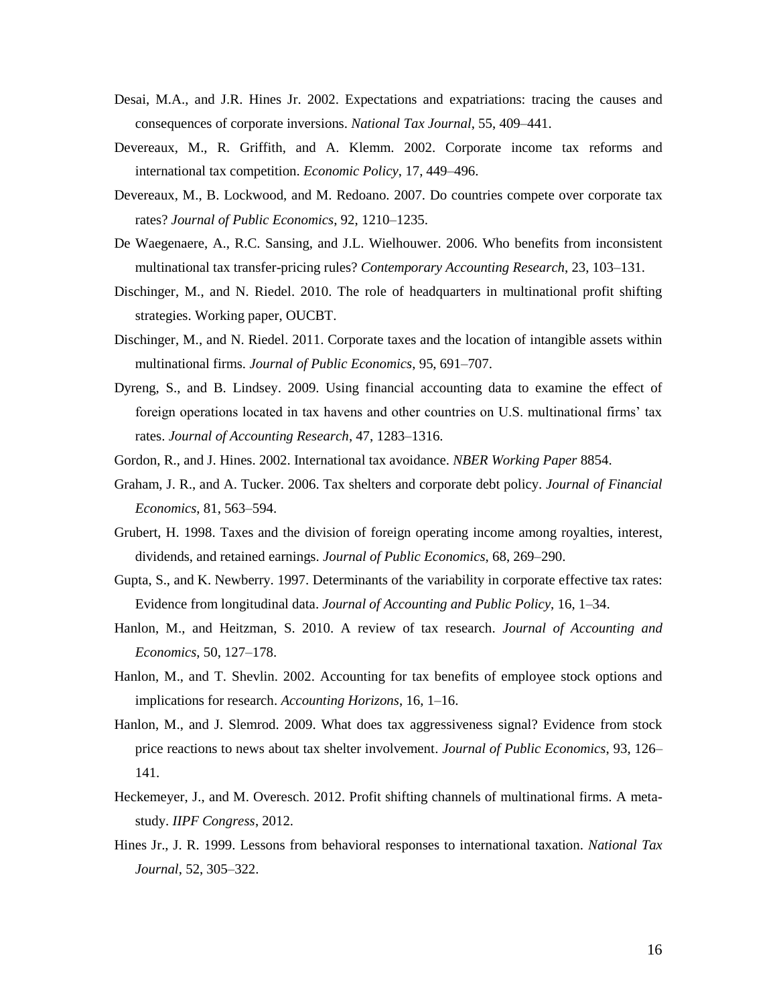- Desai, M.A., and J.R. Hines Jr. 2002. Expectations and expatriations: tracing the causes and consequences of corporate inversions. *National Tax Journal*, 55, 409–441.
- Devereaux, M., R. Griffith, and A. Klemm. 2002. Corporate income tax reforms and international tax competition. *Economic Policy*, 17, 449–496.
- Devereaux, M., B. Lockwood, and M. Redoano. 2007. Do countries compete over corporate tax rates? *Journal of Public Economics*, 92, 1210–1235.
- De Waegenaere, A., R.C. Sansing, and J.L. Wielhouwer. 2006. Who benefits from inconsistent multinational tax transfer-pricing rules? *Contemporary Accounting Research*, 23, 103–131.
- Dischinger, M., and N. Riedel. 2010. The role of headquarters in multinational profit shifting strategies. Working paper, OUCBT.
- Dischinger, M., and N. Riedel. 2011. Corporate taxes and the location of intangible assets within multinational firms. *Journal of Public Economics*, 95, 691–707.
- Dyreng, S., and B. Lindsey. 2009. Using financial accounting data to examine the effect of foreign operations located in tax havens and other countries on U.S. multinational firms' tax rates. *Journal of Accounting Research*, 47, 1283–1316.
- Gordon, R., and J. Hines. 2002. International tax avoidance. *NBER Working Paper* 8854.
- Graham, J. R., and A. Tucker. 2006. Tax shelters and corporate debt policy. *Journal of Financial Economics*, 81, 563–594.
- Grubert, H. 1998. Taxes and the division of foreign operating income among royalties, interest, dividends, and retained earnings. *Journal of Public Economics*, 68, 269–290.
- Gupta, S., and K. Newberry. 1997. Determinants of the variability in corporate effective tax rates: Evidence from longitudinal data. *Journal of Accounting and Public Policy*, 16, 1–34.
- Hanlon, M., and Heitzman, S. 2010. A review of tax research. *Journal of Accounting and Economics*, 50, 127–178.
- Hanlon, M., and T. Shevlin. 2002. Accounting for tax benefits of employee stock options and implications for research. *Accounting Horizons*, 16, 1–16.
- Hanlon, M., and J. Slemrod. 2009. What does tax aggressiveness signal? Evidence from stock price reactions to news about tax shelter involvement. *Journal of Public Economics*, 93, 126– 141.
- Heckemeyer, J., and M. Overesch. 2012. Profit shifting channels of multinational firms. A metastudy. *IIPF Congress*, 2012.
- Hines Jr., J. R. 1999. Lessons from behavioral responses to international taxation. *National Tax Journal*, 52, 305–322.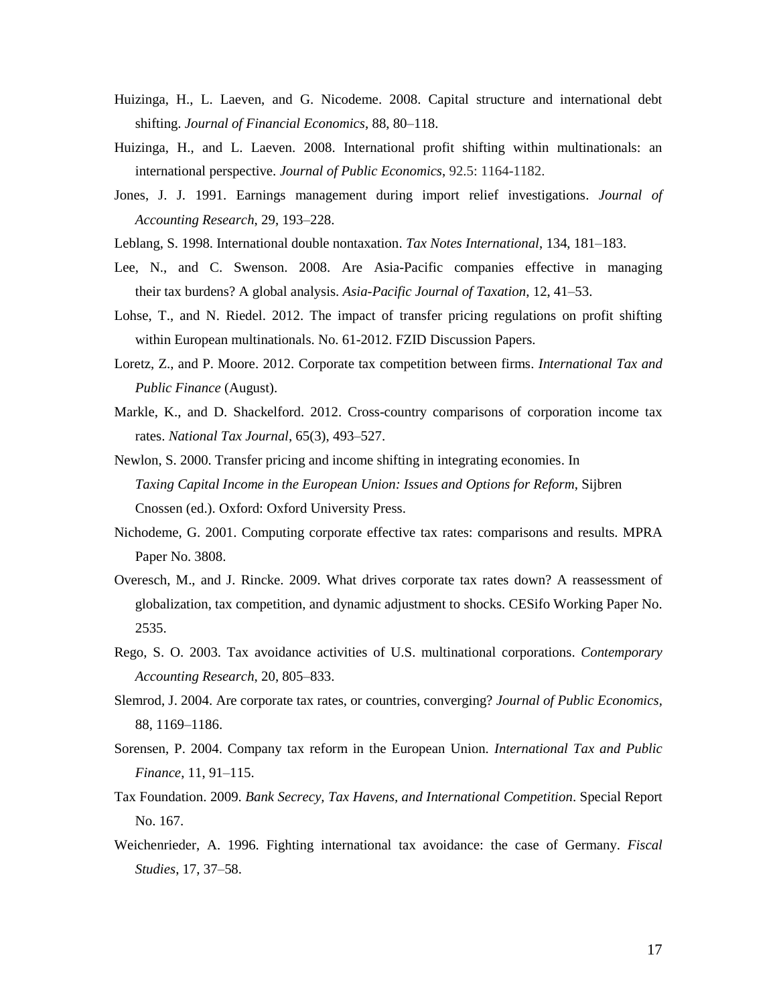- Huizinga, H., L. Laeven, and G. Nicodeme. 2008. Capital structure and international debt shifting. *Journal of Financial Economics*, 88, 80–118.
- Huizinga, H., and L. Laeven. 2008. International profit shifting within multinationals: an international perspective. *Journal of Public Economics*, 92.5: 1164-1182.
- Jones, J. J. 1991. Earnings management during import relief investigations. *Journal of Accounting Research*, 29, 193–228.
- Leblang, S. 1998. International double nontaxation. *Tax Notes International*, 134, 181–183.
- Lee, N., and C. Swenson. 2008. Are Asia-Pacific companies effective in managing their tax burdens? A global analysis. *Asia-Pacific Journal of Taxation*, 12, 41–53.
- Lohse, T., and N. Riedel. 2012. The impact of transfer pricing regulations on profit shifting within European multinationals. No. 61-2012. FZID Discussion Papers.
- Loretz, Z., and P. Moore. 2012. Corporate tax competition between firms. *International Tax and Public Finance* (August).
- Markle, K., and D. Shackelford. 2012. Cross-country comparisons of corporation income tax rates. *National Tax Journal*, 65(3), 493–527.
- Newlon, S. 2000. Transfer pricing and income shifting in integrating economies. In *Taxing Capital Income in the European Union: Issues and Options for Reform*, Sijbren Cnossen (ed.). Oxford: Oxford University Press.
- Nichodeme, G. 2001. Computing corporate effective tax rates: comparisons and results. MPRA Paper No. 3808.
- Overesch, M., and J. Rincke. 2009. What drives corporate tax rates down? A reassessment of globalization, tax competition, and dynamic adjustment to shocks. CESifo Working Paper No. 2535.
- Rego, S. O. 2003. Tax avoidance activities of U.S. multinational corporations. *Contemporary Accounting Research*, 20, 805–833.
- Slemrod, J. 2004. Are corporate tax rates, or countries, converging? *Journal of Public Economics,* 88, 1169–1186.
- Sorensen, P. 2004. Company tax reform in the European Union. *International Tax and Public Finance*, 11, 91–115.
- Tax Foundation. 2009. *Bank Secrecy, Tax Havens, and International Competition*. Special Report No. 167.
- Weichenrieder, A. 1996. Fighting international tax avoidance: the case of Germany. *Fiscal Studies*, 17, 37–58.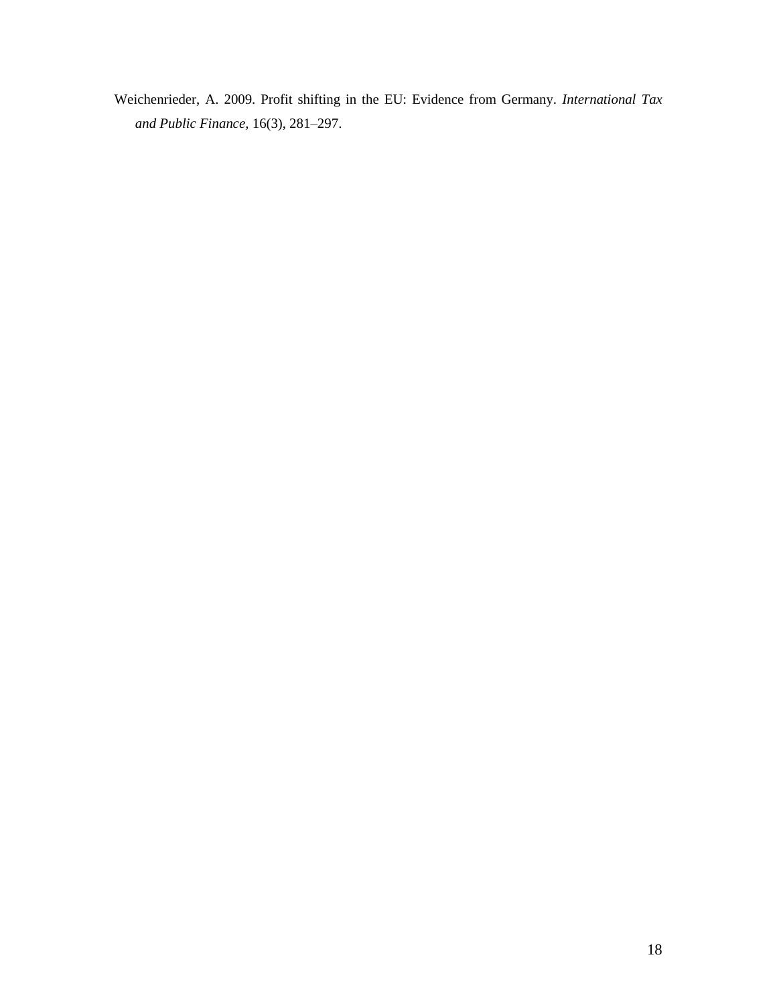Weichenrieder, A. 2009. Profit shifting in the EU: Evidence from Germany. *International Tax and Public Finance*, 16(3), 281–297.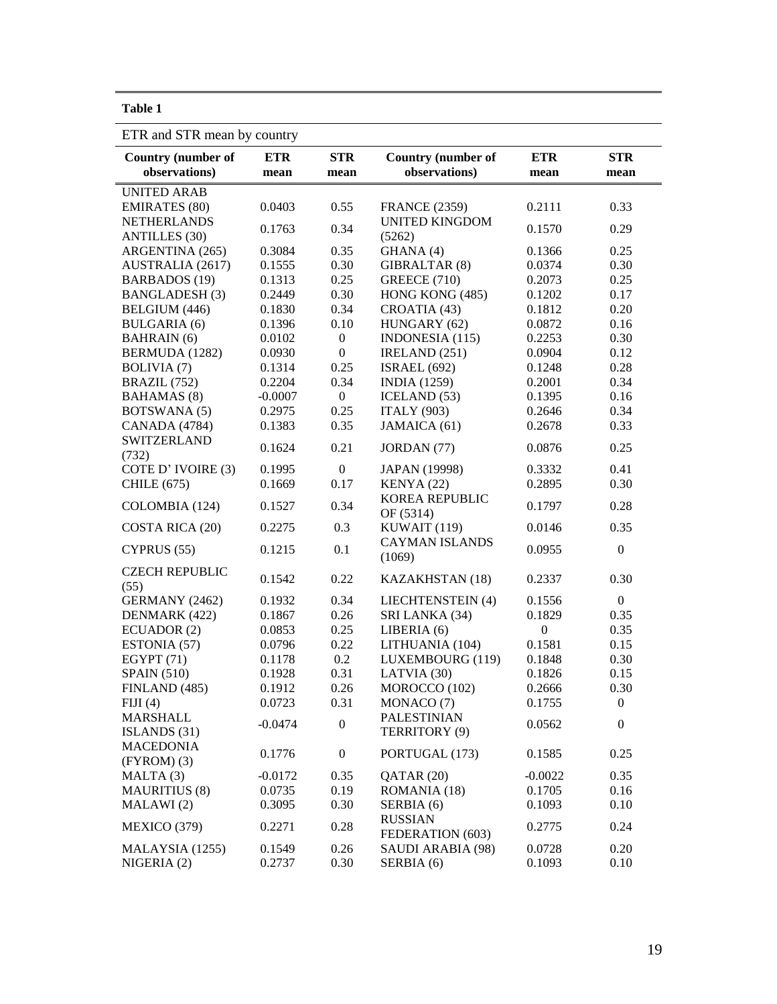| ۰,<br>٠<br>× |
|--------------|
|--------------|

ETR and STR mean by country

| $\frac{1}{2}$ . The direction of $\frac{1}{2}$ |                          |                  |                           |                  |                  |  |
|------------------------------------------------|--------------------------|------------------|---------------------------|------------------|------------------|--|
| <b>Country (number of</b>                      | <b>ETR</b><br><b>STR</b> |                  | <b>Country (number of</b> | <b>ETR</b>       | <b>STR</b>       |  |
| observations)                                  | mean                     | mean             | observations)             | mean             | mean             |  |
| <b>UNITED ARAB</b>                             |                          |                  |                           |                  |                  |  |
| <b>EMIRATES</b> (80)                           | 0.0403                   | 0.55             | <b>FRANCE (2359)</b>      | 0.2111           | 0.33             |  |
| <b>NETHERLANDS</b>                             | 0.1763                   | 0.34             | <b>UNITED KINGDOM</b>     | 0.1570           | 0.29             |  |
| <b>ANTILLES</b> (30)                           |                          |                  | (5262)                    |                  |                  |  |
| ARGENTINA (265)                                | 0.3084                   | 0.35             | GHANA (4)                 | 0.1366           | 0.25             |  |
| AUSTRALIA (2617)                               | 0.1555                   | 0.30             | GIBRALTAR (8)             | 0.0374           | 0.30             |  |
| <b>BARBADOS</b> (19)                           | 0.1313                   | 0.25             | <b>GREECE (710)</b>       | 0.2073           | 0.25             |  |
| <b>BANGLADESH(3)</b>                           | 0.2449                   | 0.30             | HONG KONG (485)           | 0.1202           | 0.17             |  |
| <b>BELGIUM</b> (446)                           | 0.1830                   | 0.34             | CROATIA (43)              | 0.1812           | 0.20             |  |
| <b>BULGARIA</b> (6)                            | 0.1396                   | 0.10             | HUNGARY (62)              | 0.0872           | 0.16             |  |
| <b>BAHRAIN</b> (6)                             | 0.0102                   | $\boldsymbol{0}$ | INDONESIA (115)           | 0.2253           | 0.30             |  |
| BERMUDA (1282)                                 | 0.0930                   | $\boldsymbol{0}$ | IRELAND (251)             | 0.0904           | 0.12             |  |
| <b>BOLIVIA</b> (7)                             | 0.1314                   | 0.25             | <b>ISRAEL</b> (692)       | 0.1248           | 0.28             |  |
| BRAZIL (752)                                   | 0.2204                   | 0.34             | <b>INDIA</b> (1259)       | 0.2001           | 0.34             |  |
| <b>BAHAMAS</b> (8)                             | $-0.0007$                | $\overline{0}$   | ICELAND $(53)$            | 0.1395           | 0.16             |  |
| <b>BOTSWANA</b> (5)                            | 0.2975                   | 0.25             | <b>ITALY (903)</b>        | 0.2646           | 0.34             |  |
| <b>CANADA</b> (4784)                           | 0.1383                   | 0.35             | JAMAICA (61)              | 0.2678           | 0.33             |  |
| <b>SWITZERLAND</b>                             |                          |                  |                           |                  |                  |  |
| (732)                                          | 0.1624                   | 0.21             | JORDAN (77)               | 0.0876           | 0.25             |  |
| COTE D'IVOIRE (3)                              | 0.1995                   | $\boldsymbol{0}$ | JAPAN (19998)             | 0.3332           | 0.41             |  |
| CHILE (675)                                    | 0.1669                   | 0.17             | KENYA (22)                | 0.2895           | 0.30             |  |
|                                                |                          |                  | KOREA REPUBLIC            |                  |                  |  |
| COLOMBIA (124)                                 | 0.1527                   | 0.34             | OF (5314)                 | 0.1797           | 0.28             |  |
| COSTA RICA (20)                                | 0.2275                   | 0.3              | KUWAIT (119)              | 0.0146           | 0.35             |  |
|                                                |                          |                  | <b>CAYMAN ISLANDS</b>     |                  |                  |  |
| CYPRUS (55)                                    | 0.1215                   | 0.1              | (1069)                    | 0.0955           | $\boldsymbol{0}$ |  |
| <b>CZECH REPUBLIC</b>                          |                          |                  |                           |                  |                  |  |
| (55)                                           | 0.1542                   | 0.22             | KAZAKHSTAN (18)           | 0.2337           | 0.30             |  |
| GERMANY (2462)                                 | 0.1932                   | 0.34             | LIECHTENSTEIN (4)         | 0.1556           | $\overline{0}$   |  |
| DENMARK (422)                                  | 0.1867                   | 0.26             | SRI LANKA (34)            | 0.1829           | 0.35             |  |
| ECUADOR (2)                                    | 0.0853                   | 0.25             | LIBERIA (6)               | $\boldsymbol{0}$ | 0.35             |  |
| ESTONIA (57)                                   | 0.0796                   | 0.22             | LITHUANIA (104)           | 0.1581           | 0.15             |  |
| EGYPT(71)                                      | 0.1178                   | $0.2\,$          | LUXEMBOURG (119)          | 0.1848           | 0.30             |  |
| <b>SPAIN (510)</b>                             | 0.1928                   | 0.31             | LATVIA (30)               | 0.1826           | 0.15             |  |
| FINLAND (485)                                  | 0.1912                   | 0.26             | MOROCCO (102)             | 0.2666           | 0.30             |  |
| FIJI(4)                                        | 0.0723                   | 0.31             | MONACO (7)                | 0.1755           | $\boldsymbol{0}$ |  |
| <b>MARSHALL</b>                                |                          |                  | <b>PALESTINIAN</b>        |                  |                  |  |
| ISLANDS (31)                                   | $-0.0474$                | $\boldsymbol{0}$ | TERRITORY (9)             | 0.0562           | $\boldsymbol{0}$ |  |
| <b>MACEDONIA</b>                               |                          |                  |                           |                  |                  |  |
| $(FYROM)$ (3)                                  | 0.1776                   | $\boldsymbol{0}$ | PORTUGAL (173)            | 0.1585           | 0.25             |  |
| MALTA(3)                                       | $-0.0172$                | 0.35             | QATAR (20)                | $-0.0022$        | 0.35             |  |
| <b>MAURITIUS (8)</b>                           | 0.0735                   | 0.19             | ROMANIA (18)              | 0.1705           | 0.16             |  |
| MALAWI(2)                                      | 0.3095                   | 0.30             | SERBIA (6)                | 0.1093           | 0.10             |  |
|                                                |                          |                  | <b>RUSSIAN</b>            |                  |                  |  |
| MEXICO (379)                                   | 0.2271                   | 0.28             | FEDERATION (603)          | 0.2775           | 0.24             |  |
| MALAYSIA (1255)                                | 0.1549                   | 0.26             | SAUDI ARABIA (98)         | 0.0728           | 0.20             |  |
| NIGERIA(2)                                     | 0.2737                   | 0.30             | SERBIA (6)                | 0.1093           | 0.10             |  |
|                                                |                          |                  |                           |                  |                  |  |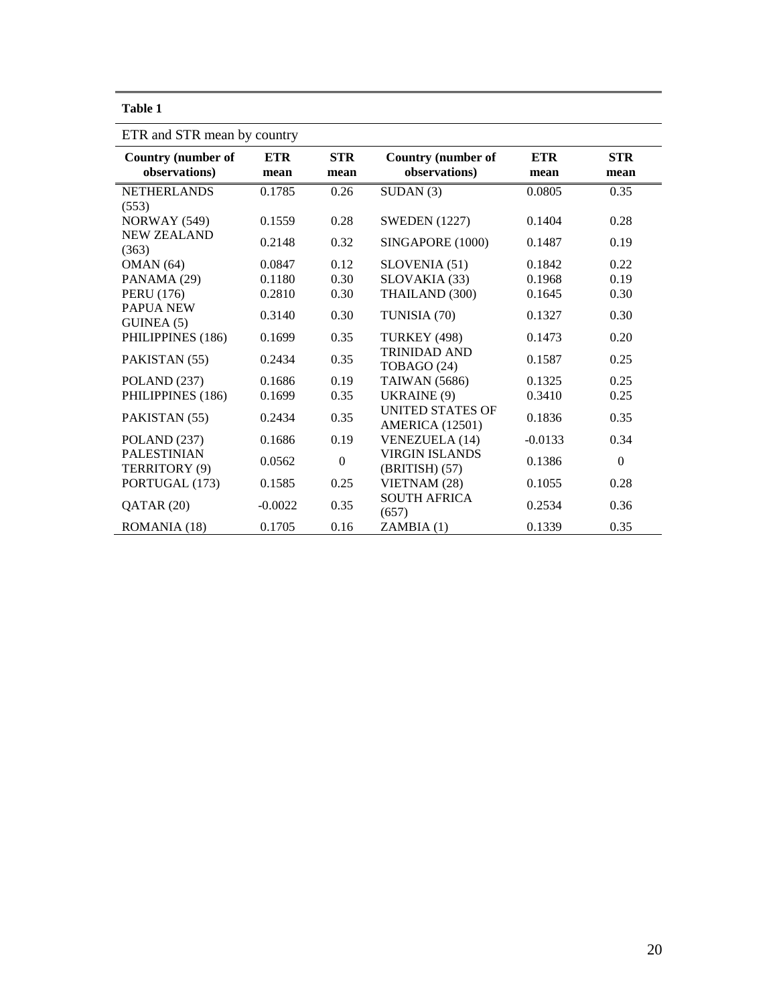| Ι<br>H<br>п<br>٠ |  |
|------------------|--|
|------------------|--|

| ETR and STR mean by country                |             |                    |                                                   |                    |                    |  |  |  |  |
|--------------------------------------------|-------------|--------------------|---------------------------------------------------|--------------------|--------------------|--|--|--|--|
| <b>Country (number of</b><br>observations) | ETR<br>mean | <b>STR</b><br>mean | <b>Country (number of</b><br>observations)        | <b>ETR</b><br>mean | <b>STR</b><br>mean |  |  |  |  |
| <b>NETHERLANDS</b>                         | 0.1785      | 0.26               | SUBAN(3)                                          | 0.0805             | 0.35               |  |  |  |  |
| (553)<br>NORWAY (549)                      | 0.1559      | 0.28               | <b>SWEDEN</b> (1227)                              | 0.1404             | 0.28               |  |  |  |  |
| <b>NEW ZEALAND</b><br>(363)                | 0.2148      | 0.32               | SINGAPORE (1000)                                  | 0.1487             | 0.19               |  |  |  |  |
| OMAN(64)                                   | 0.0847      | 0.12               | SLOVENIA (51)                                     | 0.1842             | 0.22               |  |  |  |  |
| PANAMA (29)                                | 0.1180      | 0.30               | SLOVAKIA (33)                                     | 0.1968             | 0.19               |  |  |  |  |
| <b>PERU</b> (176)                          | 0.2810      | 0.30               | THAILAND (300)                                    | 0.1645             | 0.30               |  |  |  |  |
| <b>PAPUA NEW</b><br>GUNEA(5)               | 0.3140      | 0.30               | TUNISIA (70)                                      | 0.1327             | 0.30               |  |  |  |  |
| PHILIPPINES (186)                          | 0.1699      | 0.35               | <b>TURKEY (498)</b>                               | 0.1473             | 0.20               |  |  |  |  |
| PAKISTAN (55)                              | 0.2434      | 0.35               | <b>TRINIDAD AND</b><br>TOBAGO (24)                | 0.1587             | 0.25               |  |  |  |  |
| POLAND (237)                               | 0.1686      | 0.19               | <b>TAIWAN</b> (5686)                              | 0.1325             | 0.25               |  |  |  |  |
| PHILIPPINES (186)                          | 0.1699      | 0.35               | UKRAINE (9)                                       | 0.3410             | 0.25               |  |  |  |  |
| PAKISTAN (55)                              | 0.2434      | 0.35               | <b>UNITED STATES OF</b><br><b>AMERICA</b> (12501) | 0.1836             | 0.35               |  |  |  |  |
| POLAND (237)                               | 0.1686      | 0.19               | <b>VENEZUELA</b> (14)                             | $-0.0133$          | 0.34               |  |  |  |  |
| <b>PALESTINIAN</b><br>TERRITORY (9)        | 0.0562      | $\boldsymbol{0}$   | <b>VIRGIN ISLANDS</b><br>$(BRITISH)$ (57)         | 0.1386             | $\boldsymbol{0}$   |  |  |  |  |
| PORTUGAL (173)                             | 0.1585      | 0.25               | VIETNAM (28)                                      | 0.1055             | 0.28               |  |  |  |  |
| QATAR (20)                                 | $-0.0022$   | 0.35               | <b>SOUTH AFRICA</b><br>(657)                      | 0.2534             | 0.36               |  |  |  |  |
| ROMANIA (18)                               | 0.1705      | 0.16               | ZAMBIA(1)                                         | 0.1339             | 0.35               |  |  |  |  |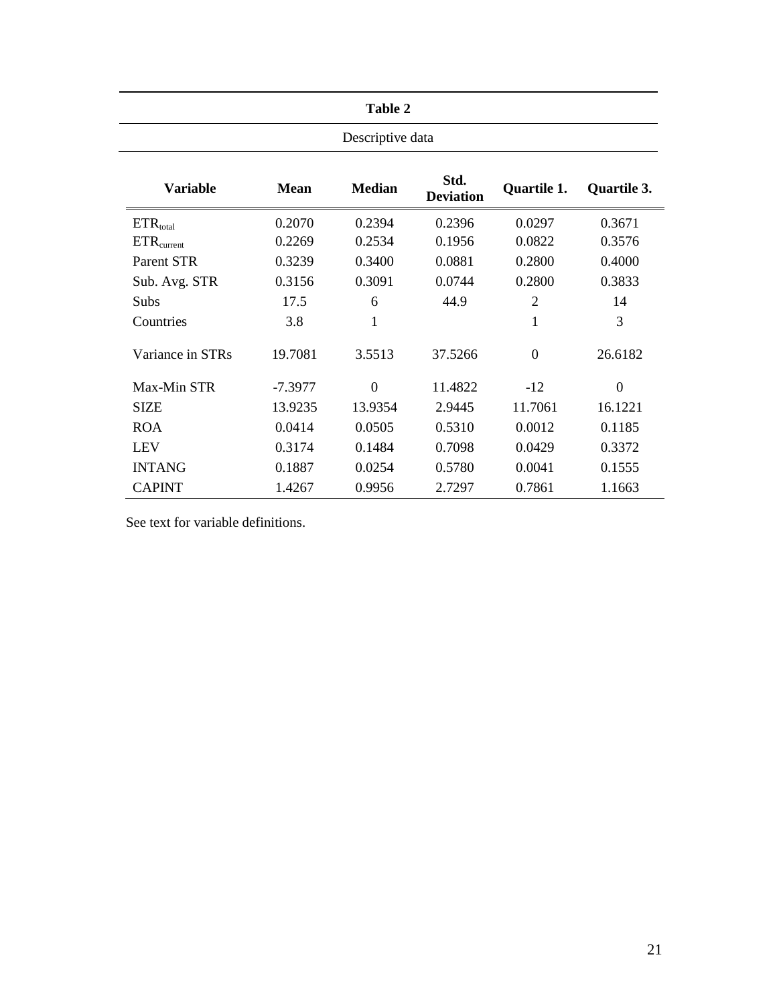|                        | <b>Table 2</b> |               |                          |                |                |  |  |  |  |  |
|------------------------|----------------|---------------|--------------------------|----------------|----------------|--|--|--|--|--|
| Descriptive data       |                |               |                          |                |                |  |  |  |  |  |
| <b>Variable</b>        | <b>Mean</b>    | <b>Median</b> | Std.<br><b>Deviation</b> | Quartile 1.    |                |  |  |  |  |  |
| $ETR_{total}$          | 0.2070         | 0.2394        | 0.2396                   | 0.0297         | 0.3671         |  |  |  |  |  |
| ETR <sub>current</sub> | 0.2269         | 0.2534        | 0.1956                   | 0.0822         | 0.3576         |  |  |  |  |  |
| Parent STR             | 0.3239         | 0.3400        | 0.0881                   | 0.2800         | 0.4000         |  |  |  |  |  |
| Sub. Avg. STR          | 0.3156         | 0.3091        | 0.0744                   | 0.2800         | 0.3833         |  |  |  |  |  |
| <b>Subs</b>            | 17.5           | 6             | 44.9                     | $\overline{2}$ | 14             |  |  |  |  |  |
| Countries              | 3.8            | 1             |                          | 1              | 3              |  |  |  |  |  |
| Variance in STRs       | 19.7081        | 3.5513        | 37.5266                  | $\Omega$       | 26.6182        |  |  |  |  |  |
| Max-Min STR            | $-7.3977$      | $\Omega$      | 11.4822                  | $-12$          | $\overline{0}$ |  |  |  |  |  |
| <b>SIZE</b>            | 13.9235        | 13.9354       | 2.9445                   | 11.7061        | 16.1221        |  |  |  |  |  |
| <b>ROA</b>             | 0.0414         | 0.0505        | 0.5310                   | 0.0012         | 0.1185         |  |  |  |  |  |
| <b>LEV</b>             | 0.3174         | 0.1484        | 0.7098                   | 0.0429         | 0.3372         |  |  |  |  |  |
| <b>INTANG</b>          | 0.1887         | 0.0254        | 0.5780                   | 0.0041         | 0.1555         |  |  |  |  |  |
| <b>CAPINT</b>          | 1.4267         | 0.9956        | 2.7297                   | 0.7861         | 1.1663         |  |  |  |  |  |

See text for variable definitions.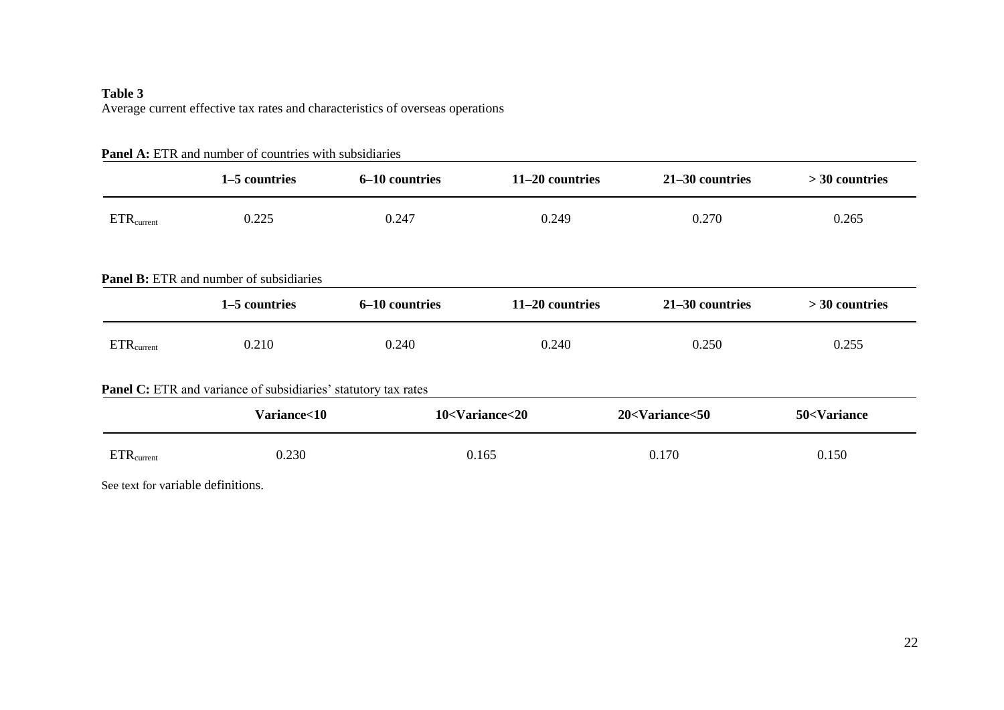## **Table 3** Average current effective tax rates and characteristics of overseas operations

|                        | 1-5 countries                                                  | 6-10 countries | 11-20 countries                                                                                                              | 21-30 countries                                                                | $>$ 30 countries                 |
|------------------------|----------------------------------------------------------------|----------------|------------------------------------------------------------------------------------------------------------------------------|--------------------------------------------------------------------------------|----------------------------------|
| $ETR_{current}$        | 0.225                                                          | 0.247          | 0.249                                                                                                                        | 0.270                                                                          | 0.265                            |
|                        | <b>Panel B:</b> ETR and number of subsidiaries                 |                |                                                                                                                              |                                                                                |                                  |
|                        | 1–5 countries                                                  | 6-10 countries | 11-20 countries                                                                                                              | 21-30 countries                                                                | $>$ 30 countries                 |
| ETR <sub>current</sub> | 0.210                                                          | 0.240          | 0.240                                                                                                                        | 0.250                                                                          | 0.255                            |
|                        | Panel C: ETR and variance of subsidiaries' statutory tax rates |                |                                                                                                                              |                                                                                |                                  |
|                        | Variance<10                                                    |                | 10 <variance<20< td=""><td>20<variance<50< td=""><td>50<variance< td=""></variance<></td></variance<50<></td></variance<20<> | 20 <variance<50< td=""><td>50<variance< td=""></variance<></td></variance<50<> | 50 <variance< td=""></variance<> |
| $ETR_{current}$        | 0.230                                                          |                | 0.165                                                                                                                        | 0.170                                                                          | 0.150                            |

## Panel A: ETR and number of countries with subsidiaries

See text for variable definitions.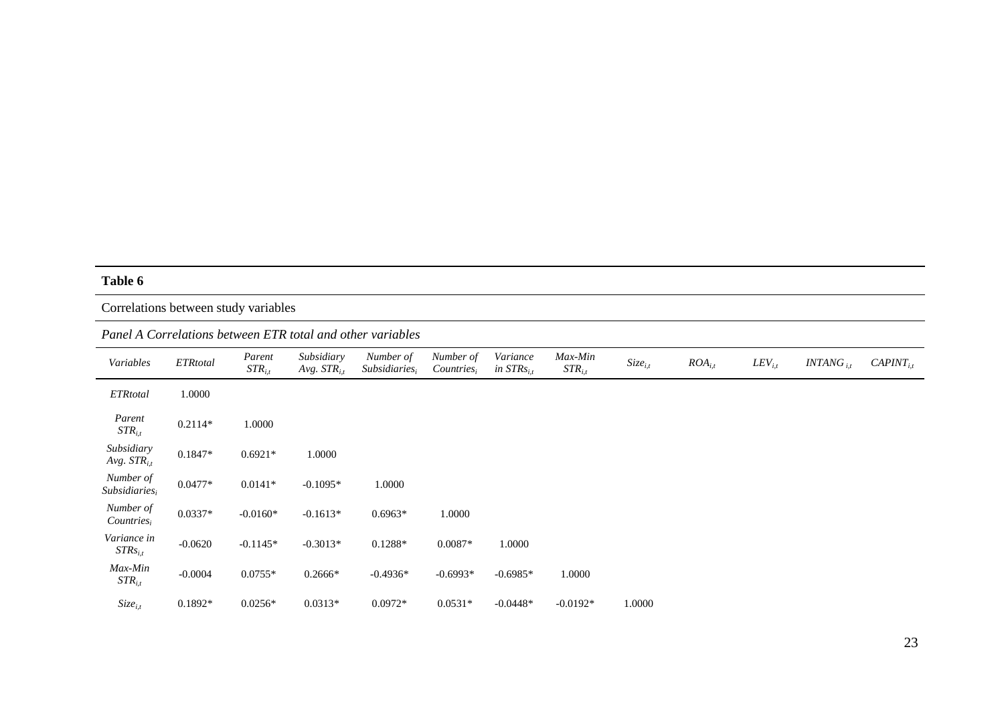# Correlations between study variables

## *Panel A Correlations between ETR total and other variables*

| Variables                              | ETRtotal  | Parent<br>$STR_{i.t}$ | Subsidiary<br>Avg. $STR_{it}$ | Number of<br>Subsidiaries, | Number of<br>Countries, | Variance<br>in $STRs_{i,t}$ | Max-Min<br>$STR_{i,t}$ | $Size_{i,t}$ | $ROA_{i,t}$ | $LEV_{i,t}$ | $INTANG_{11}$ | $CAPINT_{i,t}$ |
|----------------------------------------|-----------|-----------------------|-------------------------------|----------------------------|-------------------------|-----------------------------|------------------------|--------------|-------------|-------------|---------------|----------------|
| <b>ETRtotal</b>                        | 1.0000    |                       |                               |                            |                         |                             |                        |              |             |             |               |                |
| Parent<br>$STR_{i,t}$                  | $0.2114*$ | 1.0000                |                               |                            |                         |                             |                        |              |             |             |               |                |
| Subsidiary<br>Avg. $STR_{i,t}$         | $0.1847*$ | $0.6921*$             | 1.0000                        |                            |                         |                             |                        |              |             |             |               |                |
| Number of<br>Subsidiaries <sub>i</sub> | $0.0477*$ | $0.0141*$             | $-0.1095*$                    | 1.0000                     |                         |                             |                        |              |             |             |               |                |
| Number of<br>Countries,                | $0.0337*$ | $-0.0160*$            | $-0.1613*$                    | $0.6963*$                  | 1.0000                  |                             |                        |              |             |             |               |                |
| Variance in<br>$STRs_{i,t}$            | $-0.0620$ | $-0.1145*$            | $-0.3013*$                    | $0.1288*$                  | $0.0087*$               | 1.0000                      |                        |              |             |             |               |                |
| Max-Min<br>$STR_{i.t}$                 | $-0.0004$ | $0.0755*$             | $0.2666*$                     | $-0.4936*$                 | $-0.6993*$              | $-0.6985*$                  | 1.0000                 |              |             |             |               |                |
| $Size_{i,t}$                           | $0.1892*$ | $0.0256*$             | $0.0313*$                     | $0.0972*$                  | $0.0531*$               | $-0.0448*$                  | $-0.0192*$             | 1.0000       |             |             |               |                |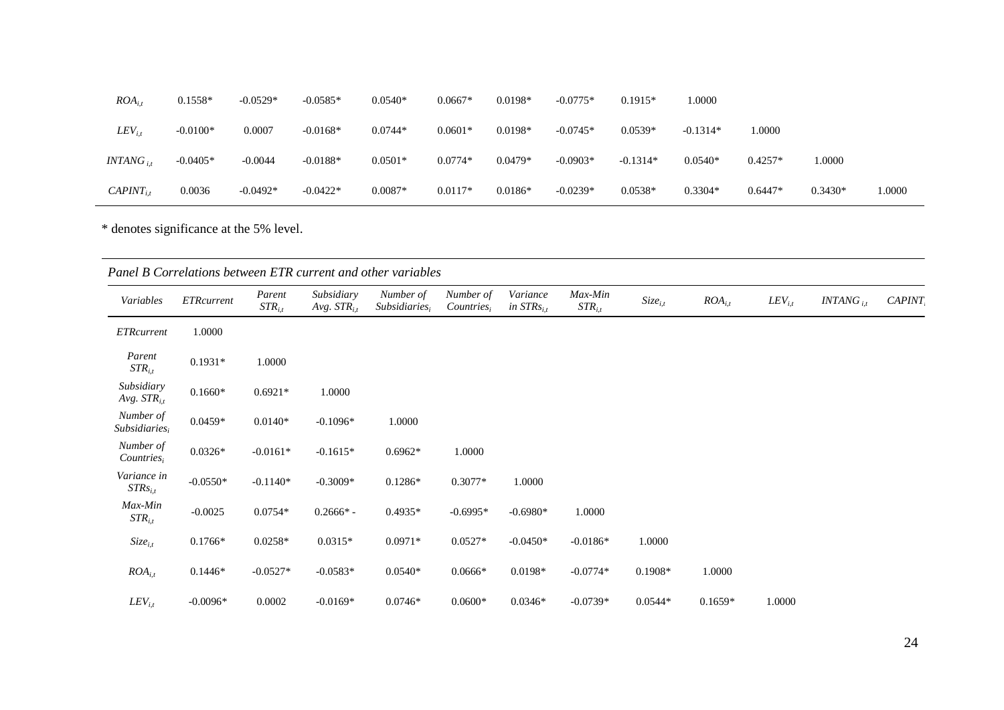| $ROA_{i,t}$    | $0.1558*$  | $-0.0529*$ | $-0.0585*$ | $0.0540*$ | $0.0667*$ | $0.0198*$ | $-0.0775*$ | $0.1915*$  | 1.0000     |           |           |        |
|----------------|------------|------------|------------|-----------|-----------|-----------|------------|------------|------------|-----------|-----------|--------|
| $LEV_{i,t}$    | $-0.0100*$ | 0.0007     | $-0.0168*$ | $0.0744*$ | $0.0601*$ | $0.0198*$ | $-0.0745*$ | $0.0539*$  | $-0.1314*$ | 0000.     |           |        |
| $INTANG_{it}$  | $-0.0405*$ | $-0.0044$  | $-0.0188*$ | $0.0501*$ | $0.0774*$ | $0.0479*$ | $-0.0903*$ | $-0.1314*$ | $0.0540*$  | $0.4257*$ | 1.0000    |        |
| $CAPINT_{i,t}$ | 0.0036     | $-0.0492*$ | $-0.0422*$ | $0.0087*$ | $0.0117*$ | $0.0186*$ | $-0.0239*$ | $0.0538*$  | $0.3304*$  | $0.6447*$ | $0.3430*$ | 1.0000 |

\* denotes significance at the 5% level.

| Variables                      | <b>ETRcurrent</b> | Parent<br>$STR_{i,t}$ | Subsidiary<br>Avg. $STR_{i,t}$ | Number of<br>Subsidiaries <sub>i</sub> | Number of<br>$Countries_i$ | Variance<br>in $STRs_{i,t}$ | Max-Min<br>$STR_{i,t}$ | $Size_{i,t}$ | $ROA_{i,t}$ | $LEV_{i,t}$ | $INTANG$ <sub>i.t</sub> | <b>CAPINT</b> |
|--------------------------------|-------------------|-----------------------|--------------------------------|----------------------------------------|----------------------------|-----------------------------|------------------------|--------------|-------------|-------------|-------------------------|---------------|
| <b>ETRcurrent</b>              | 1.0000            |                       |                                |                                        |                            |                             |                        |              |             |             |                         |               |
| Parent<br>$STR_{i,t}$          | $0.1931*$         | 1.0000                |                                |                                        |                            |                             |                        |              |             |             |                         |               |
| Subsidiary<br>Avg. $STR_{i,t}$ | $0.1660*$         | $0.6921*$             | 1.0000                         |                                        |                            |                             |                        |              |             |             |                         |               |
| Number of<br>$Subsidiaries_i$  | $0.0459*$         | $0.0140*$             | $-0.1096*$                     | 1.0000                                 |                            |                             |                        |              |             |             |                         |               |
| Number of<br>$Countries_i$     | $0.0326*$         | $-0.0161*$            | $-0.1615*$                     | $0.6962*$                              | 1.0000                     |                             |                        |              |             |             |                         |               |
| Variance in<br>$STRs_{i,t}$    | $-0.0550*$        | $-0.1140*$            | $-0.3009*$                     | $0.1286*$                              | $0.3077*$                  | 1.0000                      |                        |              |             |             |                         |               |
| Max-Min<br>$STR_{i,t}$         | $-0.0025$         | $0.0754*$             | $0.2666*$ -                    | $0.4935*$                              | $-0.6995*$                 | $-0.6980*$                  | 1.0000                 |              |             |             |                         |               |
| $Size_{i,t}$                   | $0.1766*$         | $0.0258*$             | $0.0315*$                      | $0.0971*$                              | $0.0527*$                  | $-0.0450*$                  | $-0.0186*$             | 1.0000       |             |             |                         |               |
| $ROA_{i,t}$                    | $0.1446*$         | $-0.0527*$            | $-0.0583*$                     | $0.0540*$                              | $0.0666*$                  | $0.0198*$                   | $-0.0774*$             | $0.1908*$    | 1.0000      |             |                         |               |
| $LEV_{i.t}$                    | $-0.0096*$        | 0.0002                | $-0.0169*$                     | $0.0746*$                              | $0.0600*$                  | $0.0346*$                   | $-0.0739*$             | $0.0544*$    | $0.1659*$   | 1.0000      |                         |               |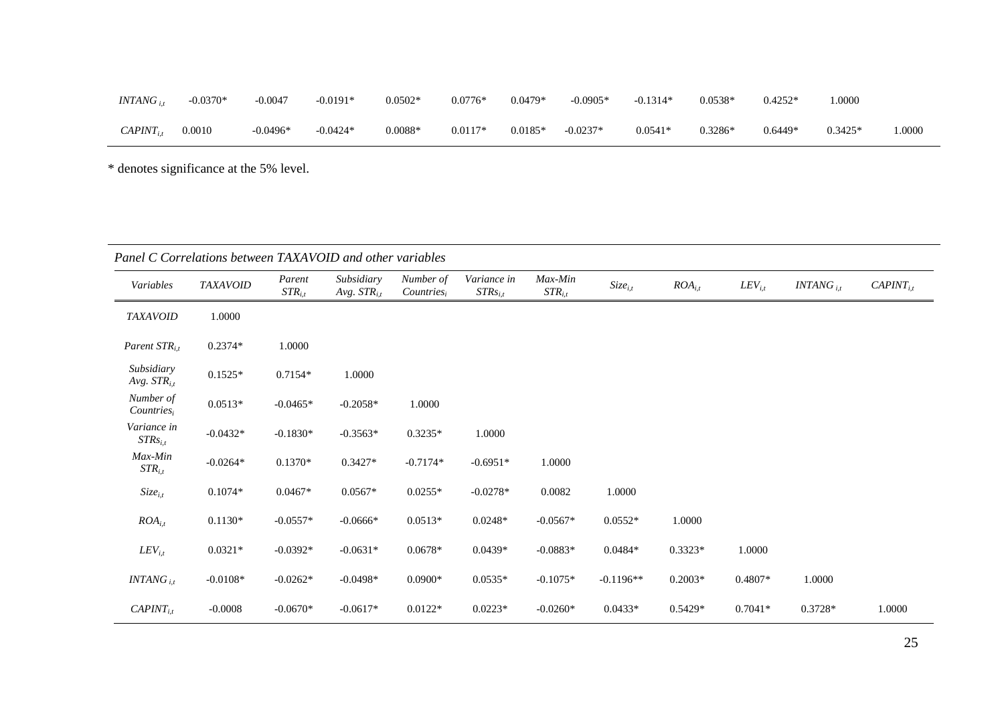| $INTANG_{i,t}$ | $-0.0370*$ | $-0.0047$  | $-0.0191*$ | $0.0502*$ | $0.0776*$ | $0.0479*$ | $-0.0905*$ | $-0.1314*$ | $0.0538*$ | $0.4252*$ | .0000     |      |
|----------------|------------|------------|------------|-----------|-----------|-----------|------------|------------|-----------|-----------|-----------|------|
| $CAPINT_{i,t}$ | 0.0010     | $-0.0496*$ | $-0.0424*$ | $0.0088*$ | $0.0117*$ | $0.0185*$ | $-0.0237*$ | $0.0541*$  | $0.3286*$ | $0.6449*$ | $0.3425*$ | 0000 |

\* denotes significance at the 5% level.

|                                | Panel C Correlations between TAXAVOID and other variables |                       |                                |                            |                             |                        |              |             |             |                |                |
|--------------------------------|-----------------------------------------------------------|-----------------------|--------------------------------|----------------------------|-----------------------------|------------------------|--------------|-------------|-------------|----------------|----------------|
| Variables                      | <b>TAXAVOID</b>                                           | Parent<br>$STR_{i,t}$ | Subsidiary<br>Avg. $STR_{i,t}$ | Number of<br>$Countries_i$ | Variance in<br>$STRs_{i,t}$ | Max-Min<br>$STR_{i,t}$ | $Size_{i,t}$ | $ROA_{i,t}$ | $LEV_{i,t}$ | $INTANG_{i.t}$ | $CAPINT_{i,t}$ |
| <b>TAXAVOID</b>                | 1.0000                                                    |                       |                                |                            |                             |                        |              |             |             |                |                |
| Parent $STR_{i,t}$             | $0.2374*$                                                 | 1.0000                |                                |                            |                             |                        |              |             |             |                |                |
| Subsidiary<br>Avg. $STR_{i,t}$ | $0.1525*$                                                 | $0.7154*$             | 1.0000                         |                            |                             |                        |              |             |             |                |                |
| Number of<br>$Countries_i$     | $0.0513*$                                                 | $-0.0465*$            | $-0.2058*$                     | 1.0000                     |                             |                        |              |             |             |                |                |
| Variance in<br>$STRs_{i,t}$    | $-0.0432*$                                                | $-0.1830*$            | $-0.3563*$                     | $0.3235*$                  | 1.0000                      |                        |              |             |             |                |                |
| Max-Min<br>$STR_{i,t}$         | $-0.0264*$                                                | $0.1370*$             | $0.3427*$                      | $-0.7174*$                 | $-0.6951*$                  | 1.0000                 |              |             |             |                |                |
| $Size_{i,t}$                   | $0.1074*$                                                 | $0.0467*$             | $0.0567*$                      | $0.0255*$                  | $-0.0278*$                  | 0.0082                 | 1.0000       |             |             |                |                |
| $ROA_{i,t}$                    | $0.1130*$                                                 | $-0.0557*$            | $-0.0666*$                     | $0.0513*$                  | $0.0248*$                   | $-0.0567*$             | $0.0552*$    | 1.0000      |             |                |                |
| $LEV_{i,t}$                    | $0.0321*$                                                 | $-0.0392*$            | $-0.0631*$                     | $0.0678*$                  | $0.0439*$                   | $-0.0883*$             | $0.0484*$    | $0.3323*$   | 1.0000      |                |                |
| $INTANG_{it}$                  | $-0.0108*$                                                | $-0.0262*$            | $-0.0498*$                     | $0.0900*$                  | $0.0535*$                   | $-0.1075*$             | $-0.1196**$  | $0.2003*$   | 0.4807*     | 1.0000         |                |
| $CAPINT_{i,t}$                 | $-0.0008$                                                 | $-0.0670*$            | $-0.0617*$                     | $0.0122*$                  | $0.0223*$                   | $-0.0260*$             | $0.0433*$    | $0.5429*$   | $0.7041*$   | 0.3728*        | 1.0000         |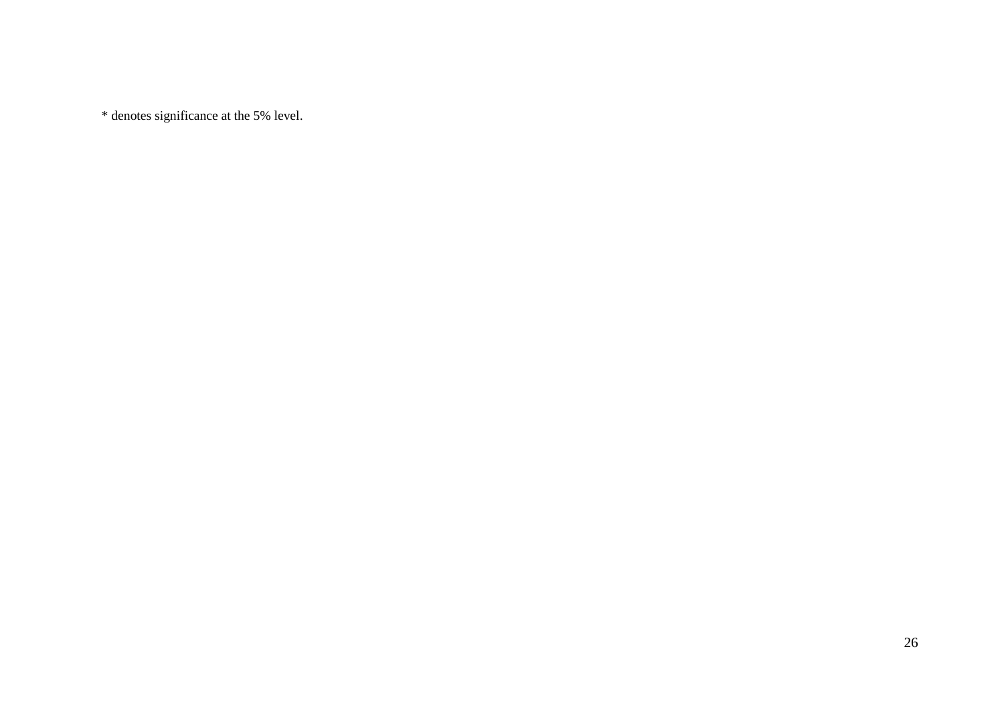\* denotes significance at the 5% level.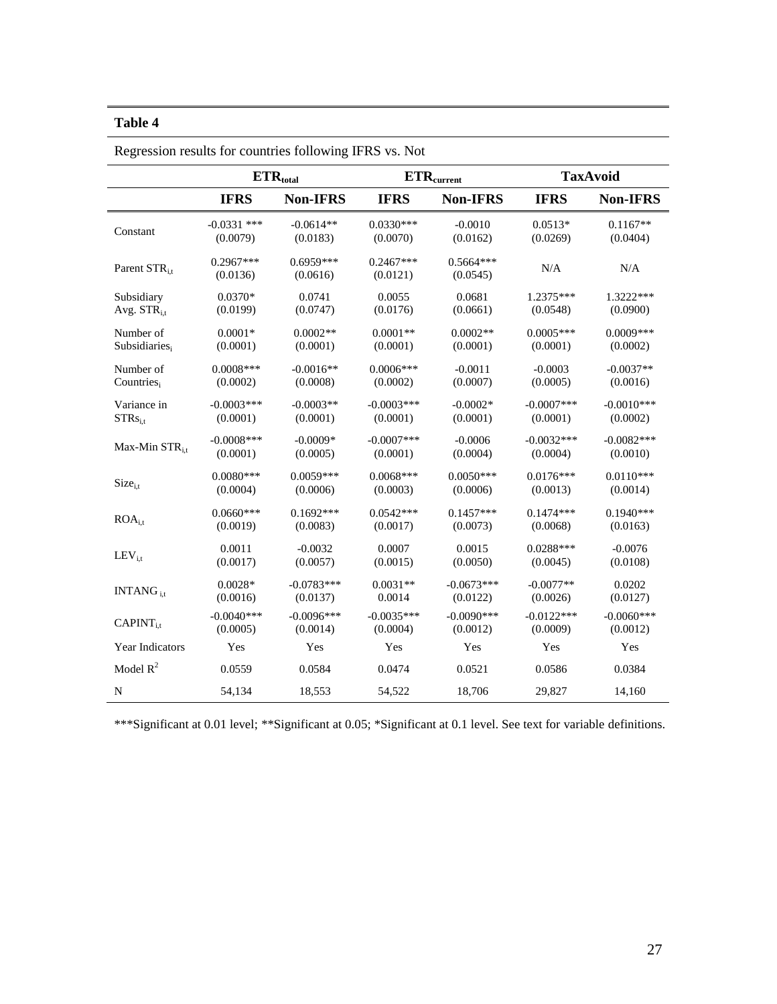|                          | $ETR_{total}$           |                         |                         | $\ensuremath{\mathrm{ETR}_\mathrm{current}}\xspace$ | <b>TaxAvoid</b> |                 |
|--------------------------|-------------------------|-------------------------|-------------------------|-----------------------------------------------------|-----------------|-----------------|
|                          | <b>IFRS</b>             | <b>Non-IFRS</b>         | <b>IFRS</b>             | <b>Non-IFRS</b>                                     | <b>IFRS</b>     | <b>Non-IFRS</b> |
| Constant                 | $-0.0331$ ***           | $-0.0614**$             | $0.0330***$             | $-0.0010$                                           | $0.0513*$       | $0.1167**$      |
|                          | (0.0079)                | (0.0183)                | (0.0070)                | (0.0162)                                            | (0.0269)        | (0.0404)        |
| Parent STR <sub>it</sub> | $0.2967***$<br>(0.0136) | $0.6959***$<br>(0.0616) | $0.2467***$<br>(0.0121) | $0.5664***$<br>(0.0545)                             | N/A             | N/A             |
| Subsidiary               | $0.0370*$               | 0.0741                  | 0.0055                  | 0.0681                                              | 1.2375***       | 1.3222***       |
| Avg. $STR_{i,t}$         | (0.0199)                | (0.0747)                | (0.0176)                | (0.0661)                                            | (0.0548)        | (0.0900)        |
| Number of                | $0.0001*$               | $0.0002**$              | $0.0001**$              | $0.0002**$                                          | $0.0005***$     | $0.0009***$     |
| Subsidiaries,            | (0.0001)                | (0.0001)                | (0.0001)                | (0.0001)                                            | (0.0001)        | (0.0002)        |
| Number of                | $0.0008***$             | $-0.0016**$             | $0.0006***$             | $-0.0011$                                           | $-0.0003$       | $-0.0037**$     |
| Countries <sub>i</sub>   | (0.0002)                | (0.0008)                | (0.0002)                | (0.0007)                                            | (0.0005)        | (0.0016)        |
| Variance in              | $-0.0003***$            | $-0.0003**$             | $-0.0003***$            | $-0.0002*$                                          | $-0.0007$ ***   | $-0.0010***$    |
| $STRs_{\rm i.t}$         | (0.0001)                | (0.0001)                | (0.0001)                | (0.0001)                                            | (0.0001)        | (0.0002)        |
| Max-Min $STR_{i,t}$      | $-0.0008$ ***           | $-0.0009*$              | $-0.0007$ ***           | $-0.0006$                                           | $-0.0032***$    | $-0.0082***$    |
|                          | (0.0001)                | (0.0005)                | (0.0001)                | (0.0004)                                            | (0.0004)        | (0.0010)        |
| $Size_{i,t}$             | $0.0080***$             | $0.0059***$             | $0.0068***$             | $0.0050***$                                         | $0.0176***$     | $0.0110***$     |
|                          | (0.0004)                | (0.0006)                | (0.0003)                | (0.0006)                                            | (0.0013)        | (0.0014)        |
| ROA <sub>i.t</sub>       | $0.0660***$             | $0.1692***$             | $0.0542***$             | $0.1457***$                                         | $0.1474***$     | $0.1940***$     |
|                          | (0.0019)                | (0.0083)                | (0.0017)                | (0.0073)                                            | (0.0068)        | (0.0163)        |
| $LEV_{i,t}$              | 0.0011                  | $-0.0032$               | 0.0007                  | 0.0015                                              | $0.0288***$     | $-0.0076$       |
|                          | (0.0017)                | (0.0057)                | (0.0015)                | (0.0050)                                            | (0.0045)        | (0.0108)        |
| $INTANG_{11}$            | $0.0028*$               | $-0.0783***$            | $0.0031**$              | $-0.0673***$                                        | $-0.0077**$     | 0.0202          |
|                          | (0.0016)                | (0.0137)                | 0.0014                  | (0.0122)                                            | (0.0026)        | (0.0127)        |
| $CAPINT_{i.t}$           | $-0.0040***$            | $-0.0096***$            | $-0.0035***$            | $-0.0090$ ***                                       | $-0.0122***$    | $-0.0060$ ***   |
|                          | (0.0005)                | (0.0014)                | (0.0004)                | (0.0012)                                            | (0.0009)        | (0.0012)        |
| Year Indicators          | Yes                     | Yes                     | Yes                     | Yes                                                 | Yes             | Yes             |
| Model $R^2$              | 0.0559                  | 0.0584                  | 0.0474                  | 0.0521                                              | 0.0586          | 0.0384          |
| N                        | 54,134                  | 18,553                  | 54,522                  | 18,706                                              | 29,827          | 14,160          |

Regression results for countries following IFRS vs. Not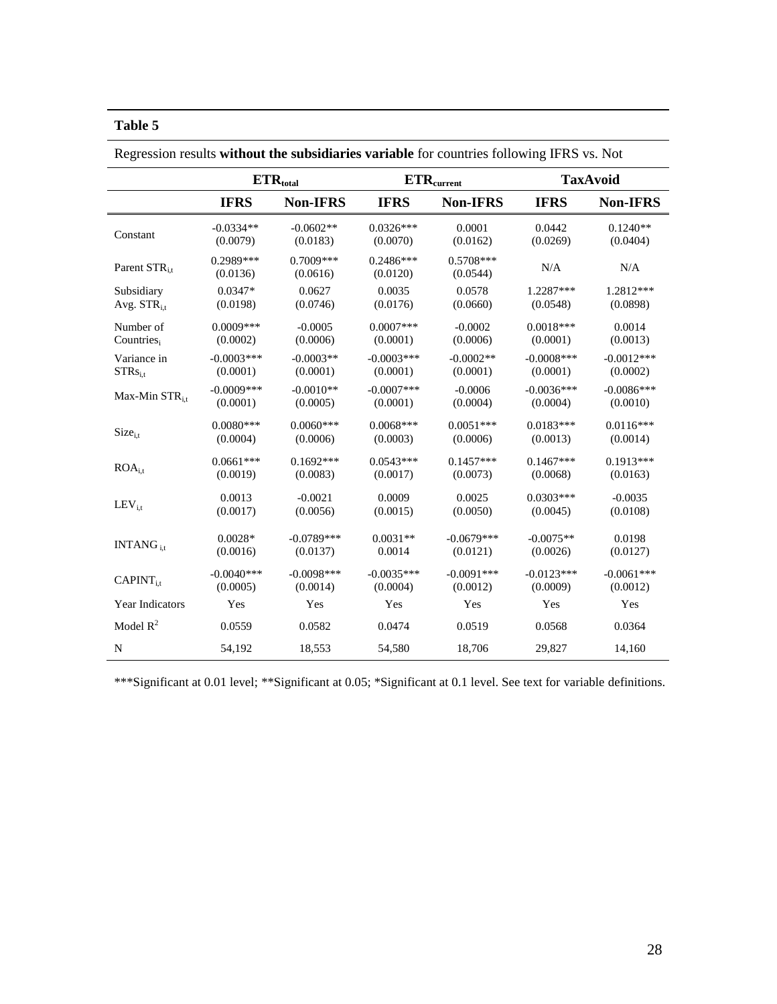|                          | $\mathbf{ETR}_{total}$ |                         |                         | $\mathbf{ETR}_{\text{current}}$ | <b>TaxAvoid</b> |                 |
|--------------------------|------------------------|-------------------------|-------------------------|---------------------------------|-----------------|-----------------|
|                          | <b>IFRS</b>            | <b>Non-IFRS</b>         | <b>IFRS</b>             | <b>Non-IFRS</b>                 | <b>IFRS</b>     | <b>Non-IFRS</b> |
| Constant                 | $-0.0334**$            | $-0.0602**$             | $0.0326***$             | 0.0001                          | 0.0442          | $0.1240**$      |
|                          | (0.0079)               | (0.0183)                | (0.0070)                | (0.0162)                        | (0.0269)        | (0.0404)        |
| Parent STR <sub>it</sub> | 0.2989***<br>(0.0136)  | $0.7009***$<br>(0.0616) | $0.2486***$<br>(0.0120) | $0.5708***$<br>(0.0544)         | N/A             | N/A             |
| Subsidiary               | $0.0347*$              | 0.0627                  | 0.0035                  | 0.0578                          | 1.2287***       | 1.2812***       |
| Avg. $STR_{i}$           | (0.0198)               | (0.0746)                | (0.0176)                | (0.0660)                        | (0.0548)        | (0.0898)        |
| Number of                | $0.0009***$            | $-0.0005$               | $0.0007$ ***            | $-0.0002$                       | $0.0018***$     | 0.0014          |
| Countries <sub>i</sub>   | (0.0002)               | (0.0006)                | (0.0001)                | (0.0006)                        | (0.0001)        | (0.0013)        |
| Variance in              | $-0.0003***$           | $-0.0003**$             | $-0.0003***$            | $-0.0002**$                     | $-0.0008$ ***   | $-0.0012***$    |
| $STRs$ <sub>i.t</sub>    | (0.0001)               | (0.0001)                | (0.0001)                | (0.0001)                        | (0.0001)        | (0.0002)        |
| Max-Min $STR_{i,t}$      | $-0.0009$ ***          | $-0.0010**$             | $-0.0007$ ***           | $-0.0006$                       | $-0.0036***$    | $-0.0086***$    |
|                          | (0.0001)               | (0.0005)                | (0.0001)                | (0.0004)                        | (0.0004)        | (0.0010)        |
| $Size_{i,t}$             | $0.0080***$            | $0.0060***$             | $0.0068***$             | $0.0051***$                     | $0.0183***$     | $0.0116***$     |
|                          | (0.0004)               | (0.0006)                | (0.0003)                | (0.0006)                        | (0.0013)        | (0.0014)        |
| ROA <sub>i,t</sub>       | $0.0661***$            | $0.1692***$             | $0.0543***$             | $0.1457***$                     | $0.1467***$     | $0.1913***$     |
|                          | (0.0019)               | (0.0083)                | (0.0017)                | (0.0073)                        | (0.0068)        | (0.0163)        |
| $LEV_{i,t}$              | 0.0013                 | $-0.0021$               | 0.0009                  | 0.0025                          | $0.0303***$     | $-0.0035$       |
|                          | (0.0017)               | (0.0056)                | (0.0015)                | (0.0050)                        | (0.0045)        | (0.0108)        |
| INTANG $_{i.t}$          | $0.0028*$              | $-0.0789***$            | $0.0031**$              | $-0.0679***$                    | $-0.0075**$     | 0.0198          |
|                          | (0.0016)               | (0.0137)                | 0.0014                  | (0.0121)                        | (0.0026)        | (0.0127)        |
| $CAPINT_{i.t}$           | $-0.0040***$           | $-0.0098***$            | $-0.0035***$            | $-0.0091***$                    | $-0.0123***$    | $-0.0061***$    |
|                          | (0.0005)               | (0.0014)                | (0.0004)                | (0.0012)                        | (0.0009)        | (0.0012)        |
| Year Indicators          | Yes                    | Yes                     | Yes                     | Yes                             | Yes             | Yes             |
| Model $R^2$              | 0.0559                 | 0.0582                  | 0.0474                  | 0.0519                          | 0.0568          | 0.0364          |
| ${\bf N}$                | 54,192                 | 18,553                  | 54,580                  | 18,706                          | 29,827          | 14,160          |

Regression results **without the subsidiaries variable** for countries following IFRS vs. Not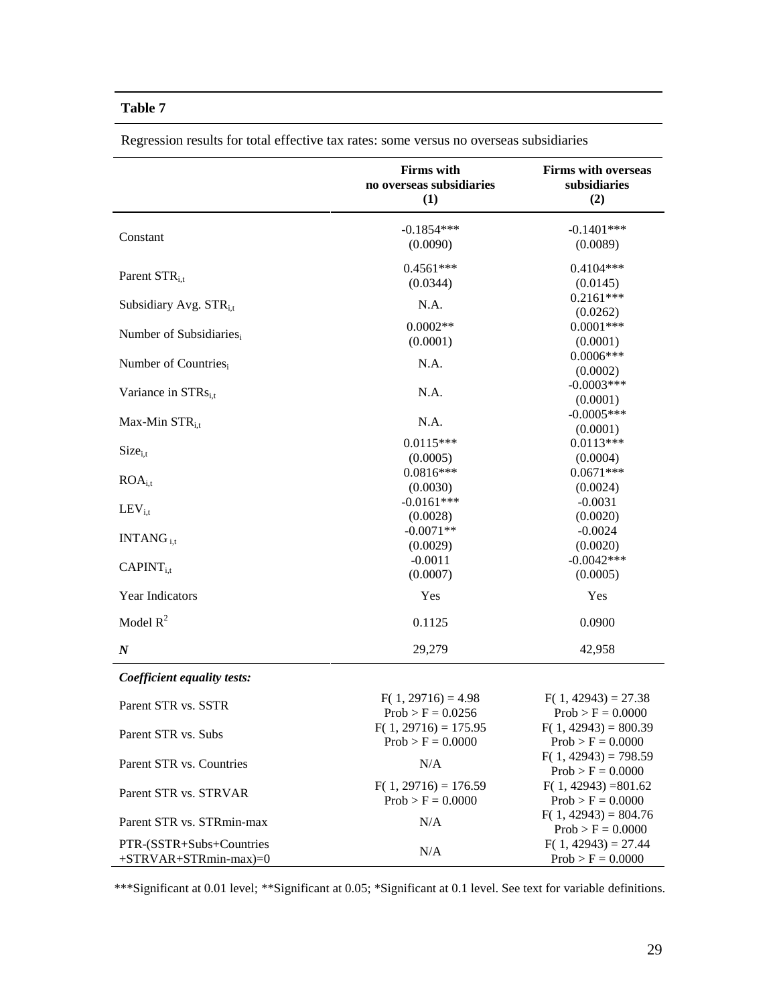|                                                    | <b>Firms</b> with<br>no overseas subsidiaries<br>(1) | <b>Firms with overseas</b><br>subsidiaries<br>(2) |
|----------------------------------------------------|------------------------------------------------------|---------------------------------------------------|
| Constant                                           | $-0.1854***$<br>(0.0090)                             | $-0.1401***$<br>(0.0089)                          |
| Parent STR <sub>i.t</sub>                          | $0.4561***$<br>(0.0344)                              | $0.4104***$<br>(0.0145)                           |
| Subsidiary Avg. STR <sub>i.t</sub>                 | N.A.                                                 | $0.2161***$<br>(0.0262)                           |
| Number of Subsidiaries,                            | $0.0002**$<br>(0.0001)                               | $0.0001$ ***<br>(0.0001)                          |
| Number of Countries <sub>i</sub>                   | N.A.                                                 | $0.0006***$<br>(0.0002)                           |
| Variance in $STRs$ <sub>i.t</sub>                  | N.A.                                                 | $-0.0003***$<br>(0.0001)                          |
| Max-Min $STR_{i,t}$                                | N.A.                                                 | $-0.0005***$<br>(0.0001)                          |
| $Size_{i,t}$                                       | $0.0115***$<br>(0.0005)                              | $0.0113***$                                       |
|                                                    | $0.0816***$                                          | (0.0004)<br>$0.0671***$                           |
| $ROA_{i.t}$                                        | (0.0030)                                             | (0.0024)                                          |
| $LEV_{i,t}$                                        | $-0.0161***$<br>(0.0028)                             | $-0.0031$<br>(0.0020)                             |
|                                                    | $-0.0071**$                                          | $-0.0024$                                         |
| INTANG <sub>it</sub>                               | (0.0029)                                             | (0.0020)                                          |
| $CAPINT_{i.t}$                                     | $-0.0011$                                            | $-0.0042***$                                      |
|                                                    | (0.0007)                                             | (0.0005)                                          |
| Year Indicators                                    | Yes                                                  | Yes                                               |
| Model $R^2$                                        | 0.1125                                               | 0.0900                                            |
| $\boldsymbol{N}$                                   | 29,279                                               | 42,958                                            |
| Coefficient equality tests:                        |                                                      |                                                   |
| Parent STR vs. SSTR                                | $F(1, 29716) = 4.98$<br>$Prob > F = 0.0256$          | $F(1, 42943) = 27.38$<br>$Prob > F = 0.0000$      |
| Parent STR vs. Subs                                | $F(1, 29716) = 175.95$<br>$Prob > F = 0.0000$        | $F(1, 42943) = 800.39$<br>$Prob > F = 0.0000$     |
| Parent STR vs. Countries                           | N/A                                                  | $F(1, 42943) = 798.59$<br>$Prob > F = 0.0000$     |
| Parent STR vs. STRVAR                              | $F(1, 29716) = 176.59$<br>$Prob > F = 0.0000$        | $F(1, 42943) = 801.62$<br>$Prob > F = 0.0000$     |
| Parent STR vs. STRmin-max                          | N/A                                                  | $F(1, 42943) = 804.76$<br>$Prob > F = 0.0000$     |
| PTR-(SSTR+Subs+Countries<br>$+STRVAR+STRmin-max=0$ | N/A                                                  | $F(1, 42943) = 27.44$<br>$Prob > F = 0.0000$      |

Regression results for total effective tax rates: some versus no overseas subsidiaries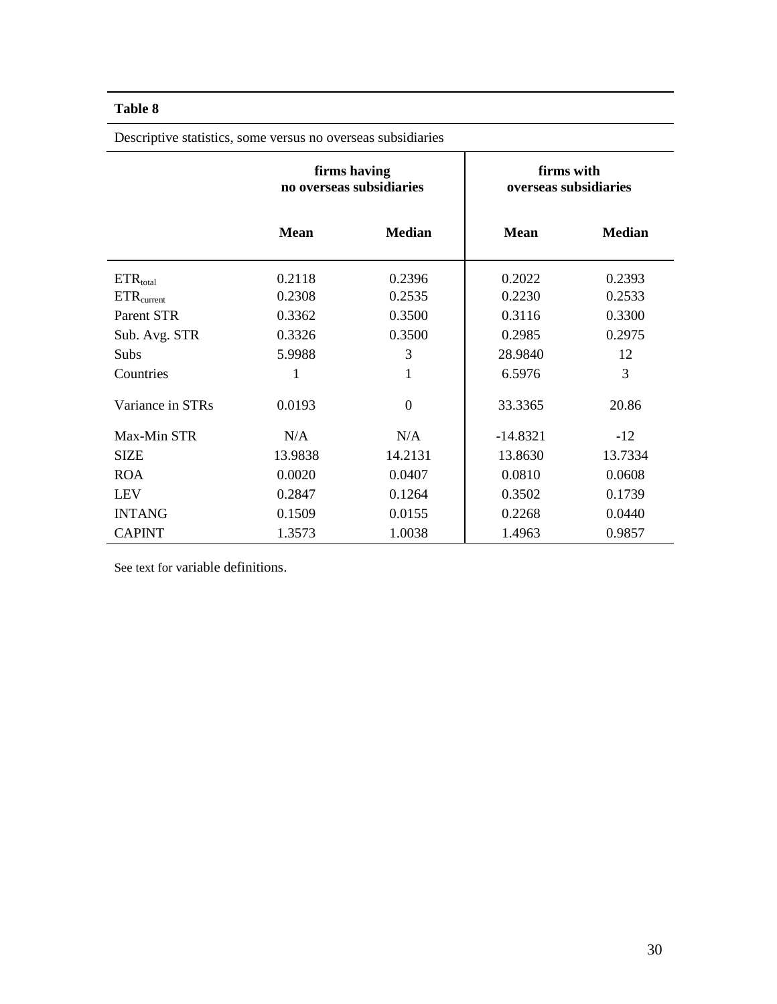| <b>Descriptive statistics, some versus no overseas sucontaines</b> |             |                                          |                                     |               |  |
|--------------------------------------------------------------------|-------------|------------------------------------------|-------------------------------------|---------------|--|
|                                                                    |             | firms having<br>no overseas subsidiaries | firms with<br>overseas subsidiaries |               |  |
|                                                                    | <b>Mean</b> | <b>Median</b>                            | <b>Mean</b>                         | <b>Median</b> |  |
| $ETR_{total}$                                                      | 0.2118      | 0.2396                                   | 0.2022                              | 0.2393        |  |
| $ETR_{\rm current}$                                                | 0.2308      | 0.2535                                   | 0.2230                              | 0.2533        |  |
| Parent STR                                                         | 0.3362      | 0.3500                                   | 0.3116                              | 0.3300        |  |
| Sub. Avg. STR                                                      | 0.3326      | 0.3500                                   | 0.2985                              | 0.2975        |  |
| Subs                                                               | 5.9988      | 3                                        | 28.9840                             | 12            |  |
| Countries                                                          | 1           | 1                                        | 6.5976                              | 3             |  |
| Variance in STRs                                                   | 0.0193      | $\overline{0}$                           | 33.3365                             | 20.86         |  |
| Max-Min STR                                                        | N/A         | N/A                                      | $-14.8321$                          | $-12$         |  |
| <b>SIZE</b>                                                        | 13.9838     | 14.2131                                  | 13.8630                             | 13.7334       |  |
| <b>ROA</b>                                                         | 0.0020      | 0.0407                                   | 0.0810                              | 0.0608        |  |
| <b>LEV</b>                                                         | 0.2847      | 0.1264                                   | 0.3502                              | 0.1739        |  |
| <b>INTANG</b>                                                      | 0.1509      | 0.0155                                   | 0.2268                              | 0.0440        |  |
| <b>CAPINT</b>                                                      | 1.3573      | 1.0038                                   | 1.4963                              | 0.9857        |  |

Descriptive statistics, some versus no overseas subsidiaries

See text for variable definitions.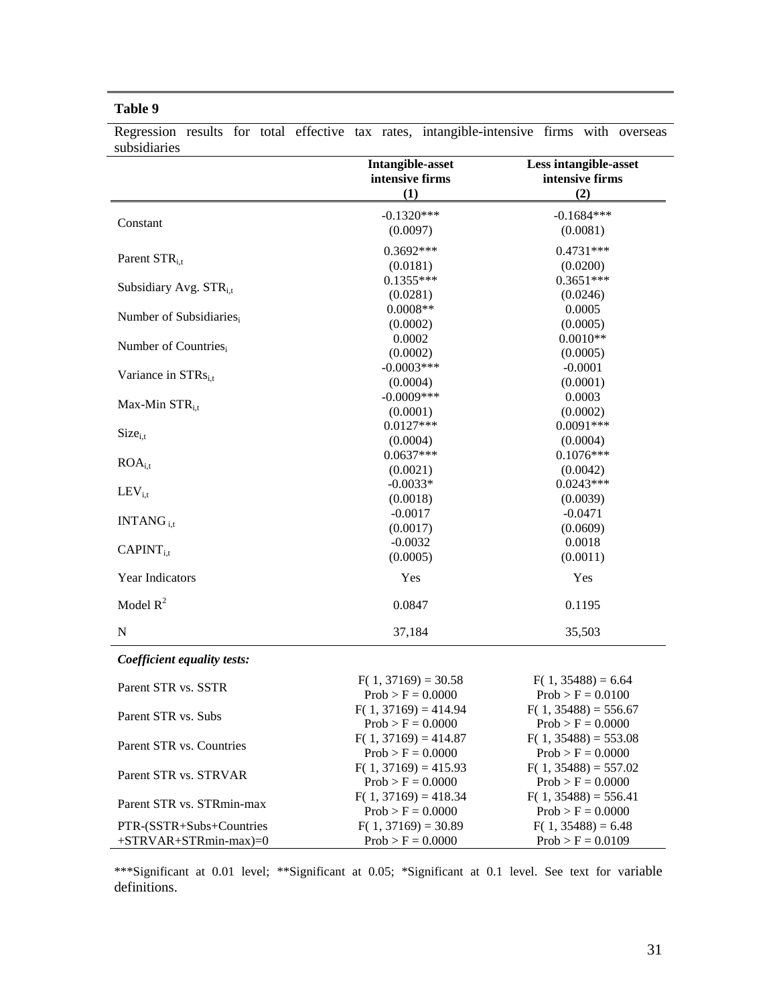|                                                    | <b>Intangible-asset</b><br>intensive firms<br>(1) | Less intangible-asset<br>intensive firms<br>(2) |
|----------------------------------------------------|---------------------------------------------------|-------------------------------------------------|
| Constant                                           | $-0.1320***$<br>(0.0097)                          | $-0.1684***$<br>(0.0081)                        |
| Parent STR <sub>it</sub>                           | 0.3692***<br>(0.0181)                             | $0.4731***$<br>(0.0200)                         |
| Subsidiary Avg. STR <sub>it</sub>                  | $0.1355***$<br>(0.0281)                           | $0.3651***$<br>(0.0246)                         |
| Number of Subsidiaries,                            | $0.0008**$<br>(0.0002)                            | 0.0005<br>(0.0005)                              |
| Number of Countries,                               | 0.0002<br>(0.0002)                                | $0.0010**$<br>(0.0005)                          |
| Variance in STRs <sub>i.t</sub>                    | $-0.0003***$<br>(0.0004)                          | $-0.0001$<br>(0.0001)                           |
| Max-Min $STR_{i,t}$                                | $-0.0009***$<br>(0.0001)                          | 0.0003<br>(0.0002)                              |
| $Size_{i.t}$                                       | $0.0127***$<br>(0.0004)                           | $0.0091***$<br>(0.0004)                         |
| ROA <sub>i.t</sub>                                 | $0.0637***$<br>(0.0021)                           | $0.1076***$<br>(0.0042)                         |
| $LEV_{i,t}$                                        | $-0.0033*$<br>(0.0018)                            | $0.0243***$<br>(0.0039)                         |
| $INTANG_{i.t}$                                     | $-0.0017$<br>(0.0017)<br>$-0.0032$                | $-0.0471$<br>(0.0609)<br>0.0018                 |
| $CAPINT_{i,t}$                                     | (0.0005)                                          | (0.0011)                                        |
| Year Indicators                                    | Yes                                               | Yes                                             |
| Model $R^2$                                        | 0.0847                                            | 0.1195                                          |
| ${\bf N}$                                          | 37,184                                            | 35,503                                          |
| Coefficient equality tests:                        |                                                   |                                                 |
| Parent STR vs. SSTR                                | $F(1, 37169) = 30.58$<br>$Prob > F = 0.0000$      | $F(1, 35488) = 6.64$<br>$Prob > F = 0.0100$     |
| Parent STR vs. Subs                                | $F(1, 37169) = 414.94$<br>$Prob > F = 0.0000$     | $F(1, 35488) = 556.67$<br>$Prob > F = 0.0000$   |
| Parent STR vs. Countries                           | $F(1, 37169) = 414.87$<br>$Prob > F = 0.0000$     | $F(1, 35488) = 553.08$<br>$Prob > F = 0.0000$   |
| Parent STR vs. STRVAR                              | $F(1, 37169) = 415.93$<br>$Prob > F = 0.0000$     | $F(1, 35488) = 557.02$<br>$Prob > F = 0.0000$   |
| Parent STR vs. STRmin-max                          | $F(1, 37169) = 418.34$<br>$Prob > F = 0.0000$     | $F(1, 35488) = 556.41$<br>$Prob > F = 0.0000$   |
| PTR-(SSTR+Subs+Countries<br>$+STRVAR+STRmin-max=0$ | $F(1, 37169) = 30.89$<br>$Prob > F = 0.0000$      | $F(1, 35488) = 6.48$<br>$Prob > F = 0.0109$     |

Regression results for total effective tax rates, intangible-intensive firms with overseas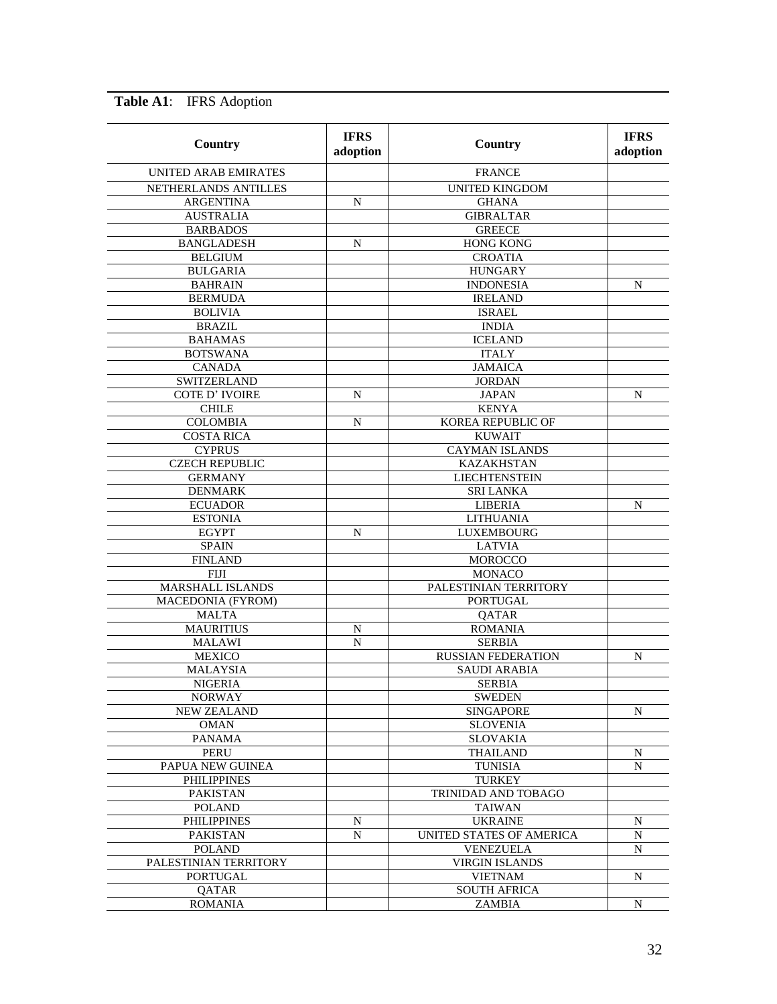| Country                     | <b>IFRS</b><br>adoption | Country                   | <b>IFRS</b><br>adoption |
|-----------------------------|-------------------------|---------------------------|-------------------------|
| <b>UNITED ARAB EMIRATES</b> |                         | <b>FRANCE</b>             |                         |
| NETHERLANDS ANTILLES        |                         | <b>UNITED KINGDOM</b>     |                         |
| <b>ARGENTINA</b>            | N                       | <b>GHANA</b>              |                         |
| <b>AUSTRALIA</b>            |                         | <b>GIBRALTAR</b>          |                         |
| <b>BARBADOS</b>             |                         | <b>GREECE</b>             |                         |
| <b>BANGLADESH</b>           | N                       | <b>HONG KONG</b>          |                         |
| <b>BELGIUM</b>              |                         | <b>CROATIA</b>            |                         |
| <b>BULGARIA</b>             |                         | <b>HUNGARY</b>            |                         |
| <b>BAHRAIN</b>              |                         | <b>INDONESIA</b>          | N                       |
| <b>BERMUDA</b>              |                         | <b>IRELAND</b>            |                         |
| <b>BOLIVIA</b>              |                         | <b>ISRAEL</b>             |                         |
| <b>BRAZIL</b>               |                         | <b>INDIA</b>              |                         |
| <b>BAHAMAS</b>              |                         | <b>ICELAND</b>            |                         |
| <b>BOTSWANA</b>             |                         | <b>ITALY</b>              |                         |
| <b>CANADA</b>               |                         | <b>JAMAICA</b>            |                         |
| SWITZERLAND                 |                         | <b>JORDAN</b>             |                         |
| <b>COTE D' IVOIRE</b>       | N                       | <b>JAPAN</b>              | N                       |
| <b>CHILE</b>                |                         | <b>KENYA</b>              |                         |
| <b>COLOMBIA</b>             | N                       | KOREA REPUBLIC OF         |                         |
| <b>COSTA RICA</b>           |                         | <b>KUWAIT</b>             |                         |
| <b>CYPRUS</b>               |                         | <b>CAYMAN ISLANDS</b>     |                         |
| <b>CZECH REPUBLIC</b>       |                         | <b>KAZAKHSTAN</b>         |                         |
| <b>GERMANY</b>              |                         | <b>LIECHTENSTEIN</b>      |                         |
| <b>DENMARK</b>              |                         | <b>SRI LANKA</b>          |                         |
| <b>ECUADOR</b>              |                         | <b>LIBERIA</b>            | N                       |
| <b>ESTONIA</b>              |                         | LITHUANIA                 |                         |
| <b>EGYPT</b>                | N                       | LUXEMBOURG                |                         |
| <b>SPAIN</b>                |                         | <b>LATVIA</b>             |                         |
| <b>FINLAND</b>              |                         | <b>MOROCCO</b>            |                         |
| <b>FIJI</b>                 |                         | <b>MONACO</b>             |                         |
| <b>MARSHALL ISLANDS</b>     |                         | PALESTINIAN TERRITORY     |                         |
| MACEDONIA (FYROM)           |                         | <b>PORTUGAL</b>           |                         |
| <b>MALTA</b>                |                         | QATAR                     |                         |
| <b>MAURITIUS</b>            | N                       | <b>ROMANIA</b>            |                         |
| <b>MALAWI</b>               | N                       | <b>SERBIA</b>             |                         |
| <b>MEXICO</b>               |                         | <b>RUSSIAN FEDERATION</b> | N                       |
| <b>MALAYSIA</b>             |                         | <b>SAUDI ARABIA</b>       |                         |
| <b>NIGERIA</b>              |                         | <b>SERBIA</b>             |                         |
| <b>NORWAY</b>               |                         | <b>SWEDEN</b>             |                         |
| <b>NEW ZEALAND</b>          |                         | <b>SINGAPORE</b>          | N                       |
| <b>OMAN</b>                 |                         | <b>SLOVENIA</b>           |                         |
| <b>PANAMA</b>               |                         | <b>SLOVAKIA</b>           |                         |
| PERU                        |                         | <b>THAILAND</b>           | N                       |
| PAPUA NEW GUINEA            |                         | <b>TUNISIA</b>            | N                       |
| <b>PHILIPPINES</b>          |                         | <b>TURKEY</b>             |                         |
| <b>PAKISTAN</b>             |                         | TRINIDAD AND TOBAGO       |                         |
| <b>POLAND</b>               |                         | <b>TAIWAN</b>             |                         |
| <b>PHILIPPINES</b>          | N                       | <b>UKRAINE</b>            | N                       |
| PAKISTAN                    | N                       | UNITED STATES OF AMERICA  | N                       |
| <b>POLAND</b>               |                         | <b>VENEZUELA</b>          | N                       |
| PALESTINIAN TERRITORY       |                         | <b>VIRGIN ISLANDS</b>     |                         |
| <b>PORTUGAL</b>             |                         | <b>VIETNAM</b>            | N                       |
| QATAR                       |                         | <b>SOUTH AFRICA</b>       |                         |
| <b>ROMANIA</b>              |                         | ZAMBIA                    | N                       |

**Table A1**: IFRS Adoption